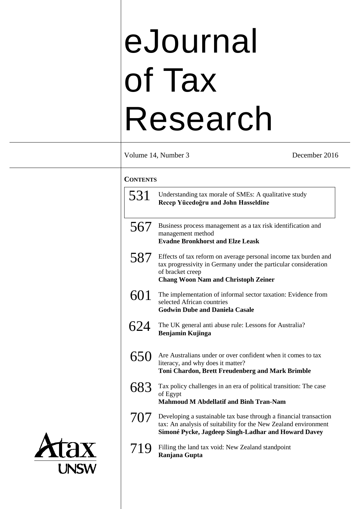# eJournal of Tax Research

Volume 14, Number 3 December 2016

### **CONTENTS**

| 531 | Understanding tax morale of SMEs: A qualitative study<br>Recep Yücedoğru and John Hasseldine                                                                                                         |
|-----|------------------------------------------------------------------------------------------------------------------------------------------------------------------------------------------------------|
| 567 | Business process management as a tax risk identification and<br>management method<br><b>Evadne Bronkhorst and Elze Leask</b>                                                                         |
| 587 | Effects of tax reform on average personal income tax burden and<br>tax progressivity in Germany under the particular consideration<br>of bracket creep<br><b>Chang Woon Nam and Christoph Zeiner</b> |
| 601 | The implementation of informal sector taxation: Evidence from<br>selected African countries<br><b>Godwin Dube and Daniela Casale</b>                                                                 |
| 624 | The UK general anti abuse rule: Lessons for Australia?<br><b>Benjamin Kujinga</b>                                                                                                                    |
| 650 | Are Australians under or over confident when it comes to tax<br>literacy, and why does it matter?<br>Toni Chardon, Brett Freudenberg and Mark Brimble                                                |
| 683 | Tax policy challenges in an era of political transition: The case<br>of Egypt<br><b>Mahmoud M Abdellatif and Binh Tran-Nam</b>                                                                       |
| 707 | Developing a sustainable tax base through a financial transaction<br>tax: An analysis of suitability for the New Zealand environment<br>Simoné Pycke, Jagdeep Singh-Ladhar and Howard Davey          |
| 719 | Filling the land tax void: New Zealand standpoint<br>Ranjana Gupta                                                                                                                                   |
|     |                                                                                                                                                                                                      |

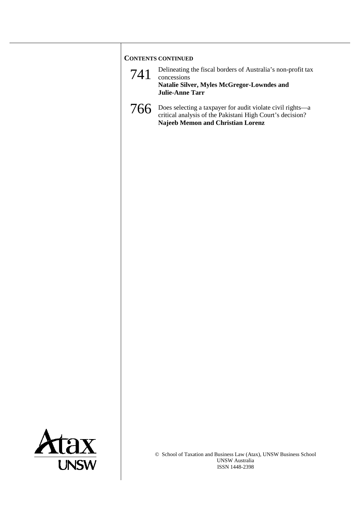# **CONTENTS CONTINUED** 741 Delineating the fiscal borders of Australia's non-profit tax concessions **Natalie Silver, Myles McGregor-Lowndes and Julie-Anne Tarr** 766 Does selecting a taxpayer for audit violate civil rights—a critical analysis of the Pakistani High Court's decision? **Najeeb Memon and Christian Lorenz**

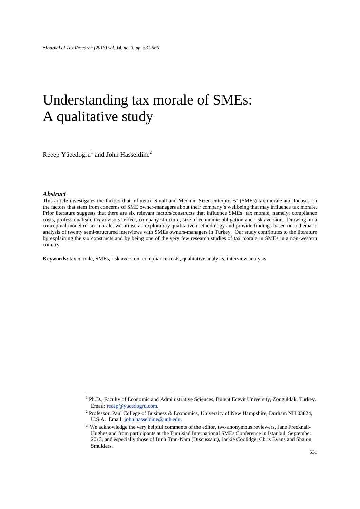## Understanding tax morale of SMEs: A qualitative study

Recep Yücedoğru<sup>[1](#page-2-0)</sup> and John Hasseldine<sup>[2](#page-2-1)</sup>

 $\overline{a}$ 

#### *Abstract*

This article investigates the factors that influence Small and Medium-Sized enterprises' (SMEs) tax morale and focuses on the factors that stem from concerns of SME owner-managers about their company's wellbeing that may influence tax morale. Prior literature suggests that there are six relevant factors/constructs that influence SMEs' tax morale, namely: compliance costs, professionalism, tax advisors' effect, company structure, size of economic obligation and risk aversion. Drawing on a conceptual model of tax morale, we utilise an exploratory qualitative methodology and provide findings based on a thematic analysis of twenty semi-structured interviews with SMEs owners-managers in Turkey. Our study contributes to the literature by explaining the six constructs and by being one of the very few research studies of tax morale in SMEs in a non-western country.

**Keywords:** tax morale, SMEs, risk aversion, compliance costs, qualitative analysis, interview analysis

<span id="page-2-0"></span><sup>&</sup>lt;sup>1</sup> Ph.D., Faculty of Economic and Administrative Sciences, Bülent Ecevit University, Zonguldak, Turkey. Email[: recep@yucedogru.com.](mailto:recep251@gmail.com)

<span id="page-2-1"></span><sup>2</sup> Professor, Paul College of Business & Economics, University of New Hampshire, Durham NH 03824, U.S.A. Email: [john.hasseldine@unh.edu.](mailto:john.hasseldine@unh.edu)

<sup>\*</sup> We acknowledge the very helpful comments of the editor, two anonymous reviewers, Jane Frecknall-Hughes and from participants at the Tumisiad International SMEs Conference in Istanbul, September 2013, and especially those of Binh Tran-Nam (Discussant), Jackie Coolidge, Chris Evans and Sharon Smulders.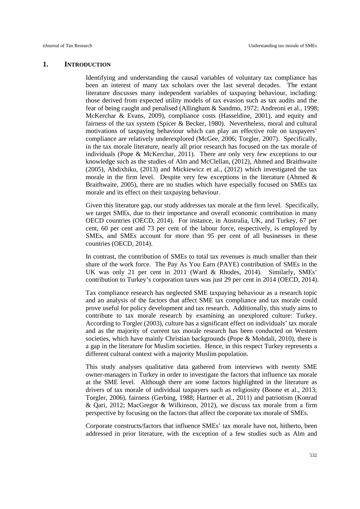#### **1. INTRODUCTION**

Identifying and understanding the causal variables of voluntary tax compliance has been an interest of many tax scholars over the last several decades. The extant literature discusses many independent variables of taxpaying behaviour, including: those derived from expected utility models of tax evasion such as tax audits and the fear of being caught and penalised (Allingham & Sandmo, 1972; Andreoni et al., 1998; McKerchar & Evans, 2009), compliance costs (Hasseldine, 2001), and equity and fairness of the tax system (Spicer & Becker, 1980). Nevertheless, moral and cultural motivations of taxpaying behaviour which can play an effective role on taxpayers' compliance are relatively underexplored (McGee, 2006; Torgler, 2007). Specifically, in the tax morale literature, nearly all prior research has focused on the tax morale of individuals (Pope & McKerchar, 2011). There are only very few exceptions to our knowledge such as the studies of Alm and McClellan, (2012), Ahmed and Braithwaite (2005), Abdixhiku, (2013) and Mickiewicz et al., (2012) which investigated the tax morale in the firm level. Despite very few exceptions in the literature (Ahmed & Braithwaite, 2005), there are no studies which have especially focused on SMEs tax morale and its effect on their taxpaying behaviour.

Given this literature gap, our study addresses tax morale at the firm level. Specifically, we target SMEs, due to their importance and overall economic contribution in many OECD countries (OECD, 2014). For instance, in Australia, UK, and Turkey, 67 per cent, 60 per cent and 73 per cent of the labour force, respectively, is employed by SMEs, and SMEs account for more than 95 per cent of all businesses in these countries (OECD, 2014).

In contrast, the contribution of SMEs to total tax revenues is much smaller than their share of the work force. The Pay As You Earn (PAYE) contribution of SMEs in the UK was only 21 per cent in 2011 (Ward & Rhodes, 2014). Similarly, SMEs' contribution to Turkey's corporation taxes was just 29 per cent in 2014 (OECD, 2014).

Tax compliance research has neglected SME taxpaying behaviour as a research topic and an analysis of the factors that affect SME tax compliance and tax morale could prove useful for policy development and tax research. Additionally, this study aims to contribute to tax morale research by examining an unexplored culture: Turkey. According to Torgler (2003), culture has a significant effect on individuals' tax morale and as the majority of current tax morale research has been conducted on Western societies, which have mainly Christian backgrounds (Pope  $\&$  Mohdali, 2010), there is a gap in the literature for Muslim societies. Hence, in this respect Turkey represents a different cultural context with a majority Muslim population.

This study analyses qualitative data gathered from interviews with twenty SME owner-managers in Turkey in order to investigate the factors that influence tax morale at the SME level. Although there are some factors highlighted in the literature as drivers of tax morale of individual taxpayers such as religiosity (Boone et al., 2013; Torgler, 2006), fairness (Gerbing, 1988; Hartner et al., 2011) and patriotism (Konrad & Qari, 2012; MacGregor & Wilkinson, 2012), we discuss tax morale from a firm perspective by focusing on the factors that affect the corporate tax morale of SMEs.

Corporate constructs/factors that influence SMEs' tax morale have not, hitherto, been addressed in prior literature, with the exception of a few studies such as Alm and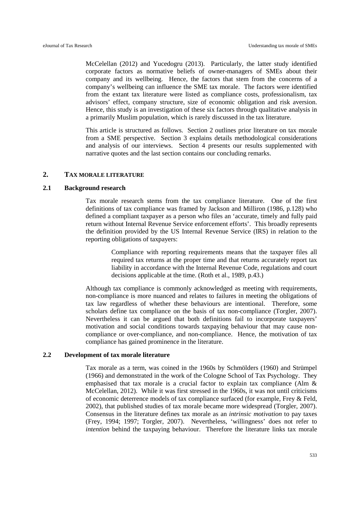McCelellan (2012) and Yucedogru (2013). Particularly, the latter study identified corporate factors as normative beliefs of owner-managers of SMEs about their company and its wellbeing. Hence, the factors that stem from the concerns of a company's wellbeing can influence the SME tax morale. The factors were identified from the extant tax literature were listed as compliance costs, professionalism, tax advisors' effect, company structure, size of economic obligation and risk aversion. Hence, this study is an investigation of these six factors through qualitative analysis in a primarily Muslim population, which is rarely discussed in the tax literature.

This article is structured as follows. Section 2 outlines prior literature on tax morale from a SME perspective. Section 3 explains details methodological considerations and analysis of our interviews. Section 4 presents our results supplemented with narrative quotes and the last section contains our concluding remarks.

#### **2. TAX MORALE LITERATURE**

#### **2.1 Background research**

Tax morale research stems from the tax compliance literature. One of the first definitions of tax compliance was framed by Jackson and Milliron (1986, p.128) who defined a compliant taxpayer as a person who files an 'accurate, timely and fully paid return without Internal Revenue Service enforcement efforts'. This broadly represents the definition provided by the US Internal Revenue Service (IRS) in relation to the reporting obligations of taxpayers:

> Compliance with reporting requirements means that the taxpayer files all required tax returns at the proper time and that returns accurately report tax liability in accordance with the Internal Revenue Code, regulations and court decisions applicable at the time. (Roth et al., 1989, p.43.)

Although tax compliance is commonly acknowledged as meeting with requirements, non-compliance is more nuanced and relates to failures in meeting the obligations of tax law regardless of whether these behaviours are intentional. Therefore, some scholars define tax compliance on the basis of tax non-compliance (Torgler, 2007). Nevertheless it can be argued that both definitions fail to incorporate taxpayers' motivation and social conditions towards taxpaying behaviour that may cause noncompliance or over-compliance, and non-compliance. Hence, the motivation of tax compliance has gained prominence in the literature.

#### **2.2 Development of tax morale literature**

Tax morale as a term, was coined in the 1960s by Schmölders (1960) and Strümpel (1966) and demonstrated in the work of the Cologne School of Tax Psychology. They emphasised that tax morale is a crucial factor to explain tax compliance (Alm  $\&$ McCelellan, 2012). While it was first stressed in the 1960s, it was not until criticisms of economic deterrence models of tax compliance surfaced (for example, Frey & Feld, 2002), that published studies of tax morale became more widespread (Torgler, 2007). Consensus in the literature defines tax morale as an *intrinsic motivation* to pay taxes (Frey, 1994; 1997; Torgler, 2007). Nevertheless, 'willingness' does not refer to *intention* behind the taxpaying behaviour. Therefore the literature links tax morale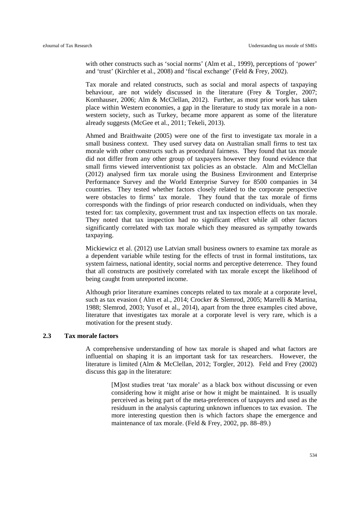with other constructs such as 'social norms' (Alm et al., 1999), perceptions of 'power' and 'trust' (Kirchler et al., 2008) and 'fiscal exchange' (Feld & Frey, 2002).

Tax morale and related constructs, such as social and moral aspects of taxpaying behaviour, are not widely discussed in the literature (Frey & Torgler, 2007; Kornhauser, 2006; Alm & McClellan, 2012). Further, as most prior work has taken place within Western economies, a gap in the literature to study tax morale in a nonwestern society, such as Turkey, became more apparent as some of the literature already suggests (McGee et al., 2011; Tekeli, 2013).

Ahmed and Braithwaite (2005) were one of the first to investigate tax morale in a small business context. They used survey data on Australian small firms to test tax morale with other constructs such as procedural fairness. They found that tax morale did not differ from any other group of taxpayers however they found evidence that small firms viewed interventionist tax policies as an obstacle. Alm and McClellan (2012) analysed firm tax morale using the Business Environment and Enterprise Performance Survey and the World Enterprise Survey for 8500 companies in 34 countries. They tested whether factors closely related to the corporate perspective were obstacles to firms' tax morale. They found that the tax morale of firms corresponds with the findings of prior research conducted on individuals, when they tested for: tax complexity, government trust and tax inspection effects on tax morale. They noted that tax inspection had no significant effect while all other factors significantly correlated with tax morale which they measured as sympathy towards taxpaying.

Mickiewicz et al. (2012) use Latvian small business owners to examine tax morale as a dependent variable while testing for the effects of trust in formal institutions, tax system fairness, national identity, social norms and perceptive deterrence. They found that all constructs are positively correlated with tax morale except the likelihood of being caught from unreported income.

Although prior literature examines concepts related to tax morale at a corporate level, such as tax evasion ( Alm et al., 2014; Crocker & Slemrod, 2005; Marrelli & Martina, 1988; Slemrod, 2003; Yusof et al., 2014), apart from the three examples cited above, literature that investigates tax morale at a corporate level is very rare, which is a motivation for the present study.

#### **2.3 Tax morale factors**

A comprehensive understanding of how tax morale is shaped and what factors are influential on shaping it is an important task for tax researchers. However, the literature is limited (Alm & McClellan, 2012; Torgler, 2012). Feld and Frey (2002) discuss this gap in the literature:

> [M]ost studies treat 'tax morale' as a black box without discussing or even considering how it might arise or how it might be maintained. It is usually perceived as being part of the meta-preferences of taxpayers and used as the residuum in the analysis capturing unknown influences to tax evasion. The more interesting question then is which factors shape the emergence and maintenance of tax morale. (Feld & Frey, 2002, pp. 88–89.)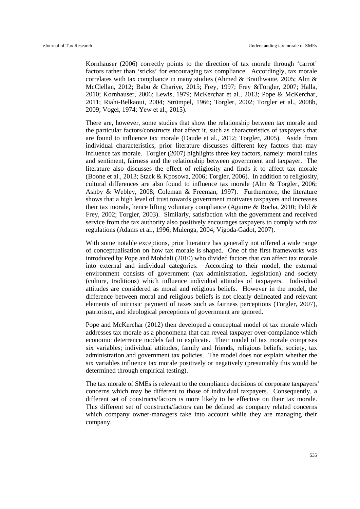Kornhauser (2006) correctly points to the direction of tax morale through 'carrot' factors rather than 'sticks' for encouraging tax compliance. Accordingly, tax morale correlates with tax compliance in many studies (Ahmed & Braithwaite, 2005; Alm & McClellan, 2012; Babu & Chariye, 2015; Frey, 1997; Frey &Torgler, 2007; Halla, 2010; Kornhauser, 2006; Lewis, 1979; McKerchar et al., 2013; Pope & McKerchar, 2011; Riahi-Belkaoui, 2004; Strümpel, 1966; Torgler, 2002; Torgler et al., 2008b, 2009; Vogel, 1974; Yew et al., 2015).

There are, however, some studies that show the relationship between tax morale and the particular factors/constructs that affect it, such as characteristics of taxpayers that are found to influence tax morale (Daude et al., 2012; Torgler, 2005). Aside from individual characteristics, prior literature discusses different key factors that may influence tax morale. Torgler (2007) highlights three key factors, namely: moral rules and sentiment, fairness and the relationship between government and taxpayer. The literature also discusses the effect of religiosity and finds it to affect tax morale (Boone et al., 2013; Stack & Kposowa, 2006; Torgler, 2006). In addition to religiosity, cultural differences are also found to influence tax morale (Alm & Torgler, 2006; Ashby & Webley, 2008; Coleman & Freeman, 1997). Furthermore, the literature shows that a high level of trust towards government motivates taxpayers and increases their tax morale, hence lifting voluntary compliance (Aguirre & Rocha, 2010; Feld & Frey, 2002; Torgler, 2003). Similarly, satisfaction with the government and received service from the tax authority also positively encourages taxpayers to comply with tax regulations (Adams et al., 1996; Mulenga, 2004; Vigoda-Gadot, 2007).

With some notable exceptions, prior literature has generally not offered a wide range of conceptualisation on how tax morale is shaped. One of the first frameworks was introduced by Pope and Mohdali (2010) who divided factors that can affect tax morale into external and individual categories. According to their model, the external environment consists of government (tax administration, legislation) and society (culture, traditions) which influence individual attitudes of taxpayers. Individual attitudes are considered as moral and religious beliefs. However in the model, the difference between moral and religious beliefs is not clearly delineated and relevant elements of intrinsic payment of taxes such as fairness perceptions (Torgler, 2007), patriotism, and ideological perceptions of government are ignored.

Pope and McKerchar (2012) then developed a conceptual model of tax morale which addresses tax morale as a phonomena that can reveal taxpayer over-compliance which economic deterrence models fail to explicate. Their model of tax morale comprises six variables; individual attitudes, family and friends, religious beliefs, society, tax administration and government tax policies. The model does not explain whether the six variables influence tax morale positively or negatively (presumably this would be determined through empirical testing).

The tax morale of SMEs is relevant to the compliance decisions of corporate taxpayers' concerns which may be different to those of individual taxpayers. Consequently, a different set of constructs/factors is more likely to be effective on their tax morale. This different set of constructs/factors can be defined as company related concerns which company owner-managers take into account while they are managing their company.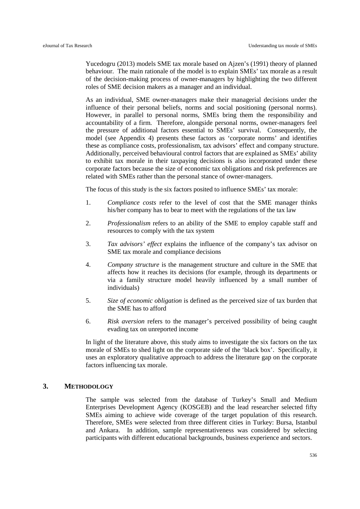Yucedogru (2013) models SME tax morale based on Ajzen's (1991) theory of planned behaviour. The main rationale of the model is to explain SMEs' tax morale as a result of the decision-making process of owner-managers by highlighting the two different roles of SME decision makers as a manager and an individual.

As an individual, SME owner-managers make their managerial decisions under the influence of their personal beliefs, norms and social positioning (personal norms). However, in parallel to personal norms, SMEs bring them the responsibility and accountability of a firm. Therefore, alongside personal norms, owner-managers feel the pressure of additional factors essential to SMEs' survival. Consequently, the model (see Appendix 4) presents these factors as 'corporate norms' and identifies these as compliance costs, professionalism, tax advisors' effect and company structure. Additionally, perceived behavioural control factors that are explained as SMEs' ability to exhibit tax morale in their taxpaying decisions is also incorporated under these corporate factors because the size of economic tax obligations and risk preferences are related with SMEs rather than the personal stance of owner-managers.

The focus of this study is the six factors posited to influence SMEs' tax morale:

- 1. *Compliance costs* refer to the level of cost that the SME manager thinks his/her company has to bear to meet with the regulations of the tax law
- 2. *Professionalism* refers to an ability of the SME to employ capable staff and resources to comply with the tax system
- 3. *Tax advisors' effect* explains the influence of the company's tax advisor on SME tax morale and compliance decisions
- 4. *Company structure* is the management structure and culture in the SME that affects how it reaches its decisions (for example, through its departments or via a family structure model heavily influenced by a small number of individuals)
- 5. *Size of economic obligation* is defined as the perceived size of tax burden that the SME has to afford
- 6. *Risk aversion* refers to the manager's perceived possibility of being caught evading tax on unreported income

In light of the literature above, this study aims to investigate the six factors on the tax morale of SMEs to shed light on the corporate side of the 'black box'. Specifically, it uses an exploratory qualitative approach to address the literature gap on the corporate factors influencing tax morale.

#### **3. METHODOLOGY**

The sample was selected from the database of Turkey's Small and Medium Enterprises Development Agency (KOSGEB) and the lead researcher selected fifty SMEs aiming to achieve wide coverage of the target population of this research. Therefore, SMEs were selected from three different cities in Turkey: Bursa, Istanbul and Ankara. In addition, sample representativeness was considered by selecting participants with different educational backgrounds, business experience and sectors.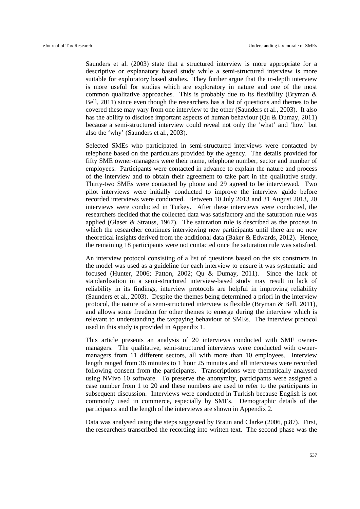Saunders et al. (2003) state that a structured interview is more appropriate for a descriptive or explanatory based study while a semi-structured interview is more suitable for exploratory based studies. They further argue that the in-depth interview is more useful for studies which are exploratory in nature and one of the most common qualitative approaches. This is probably due to its flexibility (Bryman  $\&$ Bell, 2011) since even though the researchers has a list of questions and themes to be covered these may vary from one interview to the other (Saunders et al., 2003). It also has the ability to disclose important aspects of human behaviour (Qu & Dumay, 2011) because a semi-structured interview could reveal not only the 'what' and 'how' but also the 'why' (Saunders et al., 2003).

Selected SMEs who participated in semi-structured interviews were contacted by telephone based on the particulars provided by the agency. The details provided for fifty SME owner-managers were their name, telephone number, sector and number of employees. Participants were contacted in advance to explain the nature and process of the interview and to obtain their agreement to take part in the qualitative study. Thirty-two SMEs were contacted by phone and 29 agreed to be interviewed. Two pilot interviews were initially conducted to improve the interview guide before recorded interviews were conducted. Between 10 July 2013 and 31 August 2013, 20 interviews were conducted in Turkey. After these interviews were conducted, the researchers decided that the collected data was satisfactory and the saturation rule was applied (Glaser & Strauss, 1967). The saturation rule is described as the process in which the researcher continues interviewing new participants until there are no new theoretical insights derived from the additional data (Baker & Edwards, 2012). Hence, the remaining 18 participants were not contacted once the saturation rule was satisfied.

An interview protocol consisting of a list of questions based on the six constructs in the model was used as a guideline for each interview to ensure it was systematic and focused (Hunter, 2006; Patton, 2002; Qu & Dumay, 2011). Since the lack of standardisation in a semi-structured interview-based study may result in lack of reliability in its findings, interview protocols are helpful in improving reliability (Saunders et al., 2003). Despite the themes being determined a priori in the interview protocol, the nature of a semi-structured interview is flexible (Bryman & Bell, 2011), and allows some freedom for other themes to emerge during the interview which is relevant to understanding the taxpaying behaviour of SMEs. The interview protocol used in this study is provided in Appendix 1.

This article presents an analysis of 20 interviews conducted with SME ownermanagers. The qualitative, semi-structured interviews were conducted with ownermanagers from 11 different sectors, all with more than 10 employees. Interview length ranged from 36 minutes to 1 hour 25 minutes and all interviews were recorded following consent from the participants. Transcriptions were thematically analysed using NVivo 10 software. To preserve the anonymity, participants were assigned a case number from 1 to 20 and these numbers are used to refer to the participants in subsequent discussion. Interviews were conducted in Turkish because English is not commonly used in commerce, especially by SMEs. Demographic details of the participants and the length of the interviews are shown in Appendix 2.

Data was analysed using the steps suggested by Braun and Clarke (2006, p.87). First, the researchers transcribed the recording into written text. The second phase was the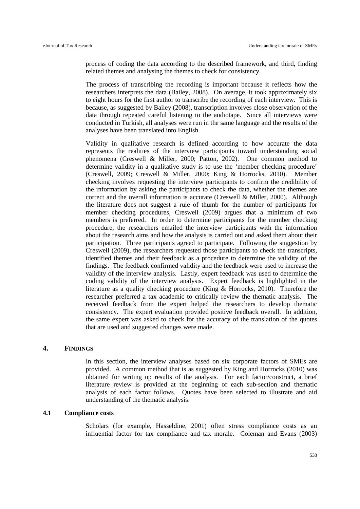process of coding the data according to the described framework, and third, finding related themes and analysing the themes to check for consistency.

The process of transcribing the recording is important because it reflects how the researchers interprets the data (Bailey, 2008). On average, it took approximately six to eight hours for the first author to transcribe the recording of each interview. This is because, as suggested by Bailey (2008), transcription involves close observation of the data through repeated careful listening to the audiotape. Since all interviews were conducted in Turkish, all analyses were run in the same language and the results of the analyses have been translated into English.

Validity in qualitative research is defined according to how accurate the data represents the realities of the interview participants toward understanding social phenomena (Creswell & Miller, 2000; Patton, 2002). One common method to determine validity in a qualitative study is to use the 'member checking procedure' (Creswell, 2009; Creswell & Miller, 2000; King & Horrocks, 2010). Member checking involves requesting the interview participants to confirm the credibility of the information by asking the participants to check the data, whether the themes are correct and the overall information is accurate (Creswell & Miller, 2000). Although the literature does not suggest a rule of thumb for the number of participants for member checking procedures, Creswell (2009) argues that a minimum of two members is preferred. In order to determine participants for the member checking procedure, the researchers emailed the interview participants with the information about the research aims and how the analysis is carried out and asked them about their participation. Three participants agreed to participate. Following the suggestion by Creswell (2009), the researchers requested those participants to check the transcripts, identified themes and their feedback as a procedure to determine the validity of the findings. The feedback confirmed validity and the feedback were used to increase the validity of the interview analysis. Lastly, expert feedback was used to determine the coding validity of the interview analysis. Expert feedback is highlighted in the literature as a quality checking procedure (King & Horrocks, 2010). Therefore the researcher preferred a tax academic to critically review the thematic analysis. The received feedback from the expert helped the researchers to develop thematic consistency. The expert evaluation provided positive feedback overall. In addition, the same expert was asked to check for the accuracy of the translation of the quotes that are used and suggested changes were made.

#### **4. FINDINGS**

In this section, the interview analyses based on six corporate factors of SMEs are provided. A common method that is as suggested by King and Horrocks (2010) was obtained for writing up results of the analysis. For each factor/construct, a brief literature review is provided at the beginning of each sub-section and thematic analysis of each factor follows. Quotes have been selected to illustrate and aid understanding of the thematic analysis.

#### **4.1 Compliance costs**

Scholars (for example, Hasseldine, 2001) often stress compliance costs as an influential factor for tax compliance and tax morale. Coleman and Evans (2003)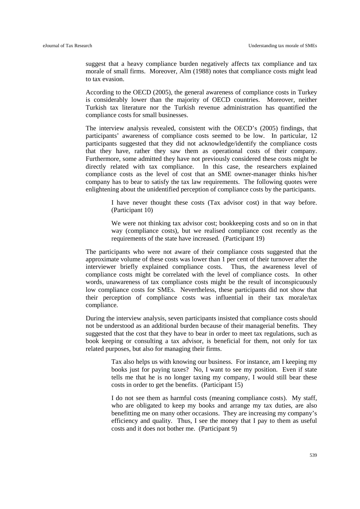suggest that a heavy compliance burden negatively affects tax compliance and tax morale of small firms. Moreover, Alm (1988) notes that compliance costs might lead to tax evasion.

According to the OECD (2005), the general awareness of compliance costs in Turkey is considerably lower than the majority of OECD countries. Moreover, neither Turkish tax literature nor the Turkish revenue administration has quantified the compliance costs for small businesses.

The interview analysis revealed, consistent with the OECD's (2005) findings, that participants' awareness of compliance costs seemed to be low. In particular, 12 participants suggested that they did not acknowledge/identify the compliance costs that they have, rather they saw them as operational costs of their company. Furthermore, some admitted they have not previously considered these costs might be directly related with tax compliance. In this case, the researchers explained compliance costs as the level of cost that an SME owner-manager thinks his/her company has to bear to satisfy the tax law requirements. The following quotes were enlightening about the unidentified perception of compliance costs by the participants.

> I have never thought these costs (Tax advisor cost) in that way before. (Participant 10)

> We were not thinking tax advisor cost; bookkeeping costs and so on in that way (compliance costs), but we realised compliance cost recently as the requirements of the state have increased. (Participant 19)

The participants who were not aware of their compliance costs suggested that the approximate volume of these costs was lower than 1 per cent of their turnover after the interviewer briefly explained compliance costs. Thus, the awareness level of compliance costs might be correlated with the level of compliance costs. In other words, unawareness of tax compliance costs might be the result of inconspicuously low compliance costs for SMEs. Nevertheless, these participants did not show that their perception of compliance costs was influential in their tax morale/tax compliance.

During the interview analysis, seven participants insisted that compliance costs should not be understood as an additional burden because of their managerial benefits. They suggested that the cost that they have to bear in order to meet tax regulations, such as book keeping or consulting a tax advisor, is beneficial for them, not only for tax related purposes, but also for managing their firms.

> Tax also helps us with knowing our business. For instance, am I keeping my books just for paying taxes? No, I want to see my position. Even if state tells me that he is no longer taxing my company, I would still bear these costs in order to get the benefits. (Participant 15)

> I do not see them as harmful costs (meaning compliance costs). My staff, who are obligated to keep my books and arrange my tax duties, are also benefitting me on many other occasions. They are increasing my company's efficiency and quality. Thus, I see the money that I pay to them as useful costs and it does not bother me. (Participant 9)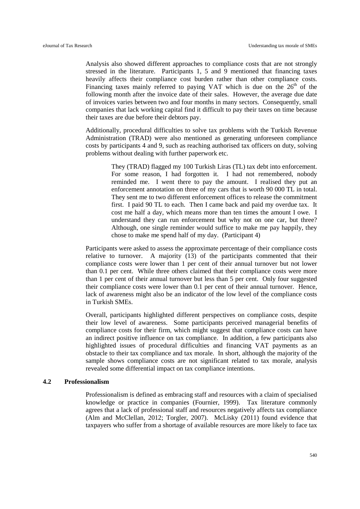Analysis also showed different approaches to compliance costs that are not strongly stressed in the literature. Participants 1, 5 and 9 mentioned that financing taxes heavily affects their compliance cost burden rather than other compliance costs. Financing taxes mainly referred to paying VAT which is due on the  $26<sup>th</sup>$  of the following month after the invoice date of their sales. However, the average due date of invoices varies between two and four months in many sectors. Consequently, small companies that lack working capital find it difficult to pay their taxes on time because their taxes are due before their debtors pay.

Additionally, procedural difficulties to solve tax problems with the Turkish Revenue Administration (TRAD) were also mentioned as generating unforeseen compliance costs by participants 4 and 9, such as reaching authorised tax officers on duty, solving problems without dealing with further paperwork etc.

> They (TRAD) flagged my 100 Turkish Liras (TL) tax debt into enforcement. For some reason, I had forgotten it. I had not remembered, nobody reminded me. I went there to pay the amount. I realised they put an enforcement annotation on three of my cars that is worth 90 000 TL in total. They sent me to two different enforcement offices to release the commitment first. I paid 90 TL to each. Then I came back and paid my overdue tax. It cost me half a day, which means more than ten times the amount I owe. I understand they can run enforcement but why not on one car, but three? Although, one single reminder would suffice to make me pay happily, they chose to make me spend half of my day. (Participant 4)

Participants were asked to assess the approximate percentage of their compliance costs relative to turnover. A majority (13) of the participants commented that their compliance costs were lower than 1 per cent of their annual turnover but not lower than 0.1 per cent. While three others claimed that their compliance costs were more than 1 per cent of their annual turnover but less than 5 per cent. Only four suggested their compliance costs were lower than 0.1 per cent of their annual turnover. Hence, lack of awareness might also be an indicator of the low level of the compliance costs in Turkish SMEs.

Overall, participants highlighted different perspectives on compliance costs, despite their low level of awareness. Some participants perceived managerial benefits of compliance costs for their firm, which might suggest that compliance costs can have an indirect positive influence on tax compliance. In addition, a few participants also highlighted issues of procedural difficulties and financing VAT payments as an obstacle to their tax compliance and tax morale. In short, although the majority of the sample shows compliance costs are not significant related to tax morale, analysis revealed some differential impact on tax compliance intentions.

#### **4.2 Professionalism**

Professionalism is defined as embracing staff and resources with a claim of specialised knowledge or practice in companies (Fournier, 1999). Tax literature commonly agrees that a lack of professional staff and resources negatively affects tax compliance (Alm and McClellan, 2012; Torgler, 2007). McLisky (2011) found evidence that taxpayers who suffer from a shortage of available resources are more likely to face tax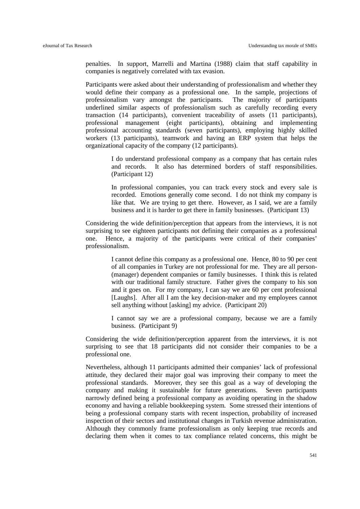penalties. In support, Marrelli and Martina (1988) claim that staff capability in companies is negatively correlated with tax evasion.

Participants were asked about their understanding of professionalism and whether they would define their company as a professional one. In the sample, projections of professionalism vary amongst the participants. The majority of participants underlined similar aspects of professionalism such as carefully recording every transaction (14 participants), convenient traceability of assets (11 participants), professional management (eight participants), obtaining and implementing professional accounting standards (seven participants), employing highly skilled workers (13 participants), teamwork and having an ERP system that helps the organizational capacity of the company (12 participants).

> I do understand professional company as a company that has certain rules and records. It also has determined borders of staff responsibilities. (Participant 12)

> In professional companies, you can track every stock and every sale is recorded. Emotions generally come second. I do not think my company is like that. We are trying to get there. However, as I said, we are a family business and it is harder to get there in family businesses. (Participant 13)

Considering the wide definition/perception that appears from the interviews, it is not surprising to see eighteen participants not defining their companies as a professional one. Hence, a majority of the participants were critical of their companies' professionalism.

> I cannot define this company as a professional one. Hence, 80 to 90 per cent of all companies in Turkey are not professional for me. They are all person- (manager) dependent companies or family businesses. I think this is related with our traditional family structure. Father gives the company to his son and it goes on. For my company, I can say we are 60 per cent professional [Laughs]. After all I am the key decision-maker and my employees cannot sell anything without [asking] my advice. (Participant 20)

> I cannot say we are a professional company, because we are a family business. (Participant 9)

Considering the wide definition/perception apparent from the interviews, it is not surprising to see that 18 participants did not consider their companies to be a professional one.

Nevertheless, although 11 participants admitted their companies' lack of professional attitude, they declared their major goal was improving their company to meet the professional standards. Moreover, they see this goal as a way of developing the company and making it sustainable for future generations. Seven participants narrowly defined being a professional company as avoiding operating in the shadow economy and having a reliable bookkeeping system. Some stressed their intentions of being a professional company starts with recent inspection, probability of increased inspection of their sectors and institutional changes in Turkish revenue administration. Although they commonly frame professionalism as only keeping true records and declaring them when it comes to tax compliance related concerns, this might be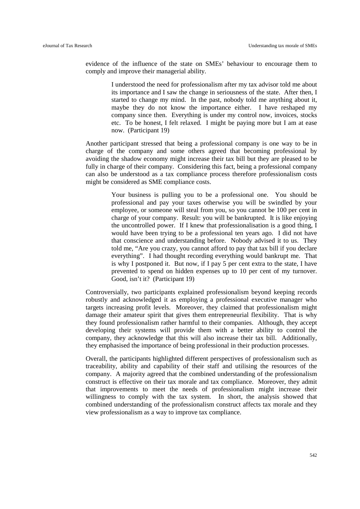evidence of the influence of the state on SMEs' behaviour to encourage them to comply and improve their managerial ability.

> I understood the need for professionalism after my tax advisor told me about its importance and I saw the change in seriousness of the state. After then, I started to change my mind. In the past, nobody told me anything about it, maybe they do not know the importance either. I have reshaped my company since then. Everything is under my control now, invoices, stocks etc. To be honest, I felt relaxed. I might be paying more but I am at ease now. (Participant 19)

Another participant stressed that being a professional company is one way to be in charge of the company and some others agreed that becoming professional by avoiding the shadow economy might increase their tax bill but they are pleased to be fully in charge of their company. Considering this fact, being a professional company can also be understood as a tax compliance process therefore professionalism costs might be considered as SME compliance costs.

> Your business is pulling you to be a professional one. You should be professional and pay your taxes otherwise you will be swindled by your employee, or someone will steal from you, so you cannot be 100 per cent in charge of your company. Result: you will be bankrupted. It is like enjoying the uncontrolled power. If I knew that professionalisation is a good thing, I would have been trying to be a professional ten years ago. I did not have that conscience and understanding before. Nobody advised it to us. They told me, "Are you crazy, you cannot afford to pay that tax bill if you declare everything". I had thought recording everything would bankrupt me. That is why I postponed it. But now, if I pay 5 per cent extra to the state, I have prevented to spend on hidden expenses up to 10 per cent of my turnover. Good, isn't it? (Participant 19)

Controversially, two participants explained professionalism beyond keeping records robustly and acknowledged it as employing a professional executive manager who targets increasing profit levels. Moreover, they claimed that professionalism might damage their amateur spirit that gives them entrepreneurial flexibility. That is why they found professionalism rather harmful to their companies. Although, they accept developing their systems will provide them with a better ability to control the company, they acknowledge that this will also increase their tax bill. Additionally, they emphasised the importance of being professional in their production processes.

Overall, the participants highlighted different perspectives of professionalism such as traceability, ability and capability of their staff and utilising the resources of the company. A majority agreed that the combined understanding of the professionalism construct is effective on their tax morale and tax compliance. Moreover, they admit that improvements to meet the needs of professionalism might increase their willingness to comply with the tax system. In short, the analysis showed that combined understanding of the professionalism construct affects tax morale and they view professionalism as a way to improve tax compliance.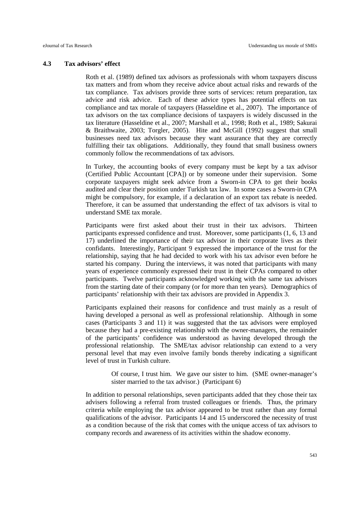#### **4.3 Tax advisors' effect**

Roth et al. (1989) defined tax advisors as professionals with whom taxpayers discuss tax matters and from whom they receive advice about actual risks and rewards of the tax compliance. Tax advisors provide three sorts of services: return preparation, tax advice and risk advice. Each of these advice types has potential effects on tax compliance and tax morale of taxpayers (Hasseldine et al., 2007). The importance of tax advisors on the tax compliance decisions of taxpayers is widely discussed in the tax literature (Hasseldine et al., 2007; Marshall et al., 1998; Roth et al., 1989; Sakurai & Braithwaite, 2003; Torgler, 2005). Hite and McGill (1992) suggest that small businesses need tax advisors because they want assurance that they are correctly fulfilling their tax obligations. Additionally, they found that small business owners commonly follow the recommendations of tax advisors.

In Turkey, the accounting books of every company must be kept by a tax advisor (Certified Public Accountant [CPA]) or by someone under their supervision. Some corporate taxpayers might seek advice from a Sworn-in CPA to get their books audited and clear their position under Turkish tax law. In some cases a Sworn-in CPA might be compulsory, for example, if a declaration of an export tax rebate is needed. Therefore, it can be assumed that understanding the effect of tax advisors is vital to understand SME tax morale.

Participants were first asked about their trust in their tax advisors. Thirteen participants expressed confidence and trust. Moreover, some participants (1, 6, 13 and 17) underlined the importance of their tax advisor in their corporate lives as their confidants. Interestingly, Participant 9 expressed the importance of the trust for the relationship, saying that he had decided to work with his tax advisor even before he started his company. During the interviews, it was noted that participants with many years of experience commonly expressed their trust in their CPAs compared to other participants. Twelve participants acknowledged working with the same tax advisors from the starting date of their company (or for more than ten years). Demographics of participants' relationship with their tax advisors are provided in Appendix 3.

Participants explained their reasons for confidence and trust mainly as a result of having developed a personal as well as professional relationship. Although in some cases (Participants 3 and 11) it was suggested that the tax advisors were employed because they had a pre-existing relationship with the owner-managers, the remainder of the participants' confidence was understood as having developed through the professional relationship. The SME/tax advisor relationship can extend to a very personal level that may even involve family bonds thereby indicating a significant level of trust in Turkish culture.

> Of course, I trust him. We gave our sister to him. (SME owner-manager's sister married to the tax advisor.) (Participant 6)

In addition to personal relationships, seven participants added that they chose their tax advisers following a referral from trusted colleagues or friends. Thus, the primary criteria while employing the tax advisor appeared to be trust rather than any formal qualifications of the advisor. Participants 14 and 15 underscored the necessity of trust as a condition because of the risk that comes with the unique access of tax advisors to company records and awareness of its activities within the shadow economy.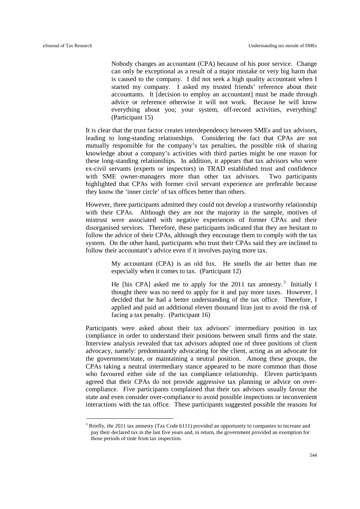1

Nobody changes an accountant (CPA) because of his poor service. Change can only be exceptional as a result of a major mistake or very big harm that is caused to the company. I did not seek a high quality accountant when I started my company. I asked my trusted friends' reference about their accountants. It [decision to employ an accountant] must be made through advice or reference otherwise it will not work. Because he will know everything about you; your system, off-record activities, everything! (Participant 15)

It is clear that the trust factor creates interdependency between SMEs and tax advisors, leading to long-standing relationships. Considering the fact that CPAs are not mutually responsible for the company's tax penalties, the possible risk of sharing knowledge about a company's activities with third parties might be one reason for these long-standing relationships. In addition, it appears that tax advisors who were ex-civil servants (experts or inspectors) in TRAD established trust and confidence with SME owner-managers more than other tax advisors. Two participants highlighted that CPAs with former civil servant experience are preferable because they know the 'inner circle' of tax offices better than others.

However, three participants admitted they could not develop a trustworthy relationship with their CPAs. Although they are not the majority in the sample, motives of mistrust were associated with negative experiences of former CPAs and their disorganised services. Therefore, these participants indicated that they are hesitant to follow the advice of their CPAs, although they encourage them to comply with the tax system. On the other hand, participants who trust their CPAs said they are inclined to follow their accountant's advice even if it involves paying more tax.

> My accountant (CPA) is an old fox. He smells the air better than me especially when it comes to tax. (Participant 12)

> He [his CPA] asked me to apply for the 2011 tax amnesty.<sup>[3](#page-15-0)</sup> Initially I thought there was no need to apply for it and pay more taxes. However, I decided that he had a better understanding of the tax office. Therefore, I applied and paid an additional eleven thousand liras just to avoid the risk of facing a tax penalty. (Participant 16)

Participants were asked about their tax advisors' intermediary position in tax compliance in order to understand their positions between small firms and the state. Interview analysis revealed that tax advisors adopted one of three positions of client advocacy, namely: predominantly advocating for the client, acting as an advocate for the government/state, or maintaining a neutral position. Among these groups, the CPAs taking a neutral intermediary stance appeared to be more common than those who favoured either side of the tax compliance relationship. Eleven participants agreed that their CPAs do not provide aggressive tax planning or advice on overcompliance. Five participants complained that their tax advisors usually favour the state and even consider over-compliance to avoid possible inspections or inconvenient interactions with the tax office. These participants suggested possible the reasons for

<span id="page-15-0"></span><sup>&</sup>lt;sup>3</sup> Briefly, the 2011 tax amnesty (Tax Code 6111) provided an opportunity to companies to increase and pay their declared tax in the last five years and, in return, the government provided an exemption for those periods of time from tax inspection.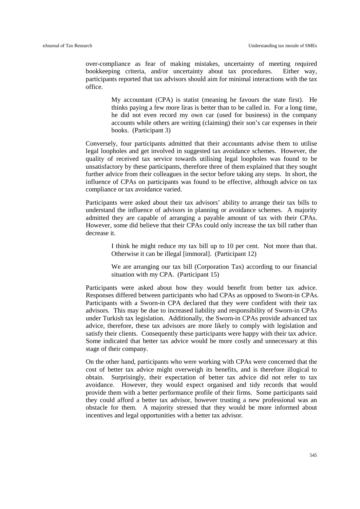over-compliance as fear of making mistakes, uncertainty of meeting required bookkeeping criteria, and/or uncertainty about tax procedures. Either way, participants reported that tax advisors should aim for minimal interactions with the tax office.

> My accountant (CPA) is statist (meaning he favours the state first). He thinks paying a few more liras is better than to be called in. For a long time, he did not even record my own car (used for business) in the company accounts while others are writing (claiming) their son's car expenses in their books. (Participant 3)

Conversely, four participants admitted that their accountants advise them to utilise legal loopholes and get involved in suggested tax avoidance schemes. However, the quality of received tax service towards utilising legal loopholes was found to be unsatisfactory by these participants, therefore three of them explained that they sought further advice from their colleagues in the sector before taking any steps. In short, the influence of CPAs on participants was found to be effective, although advice on tax compliance or tax avoidance varied.

Participants were asked about their tax advisors' ability to arrange their tax bills to understand the influence of advisors in planning or avoidance schemes. A majority admitted they are capable of arranging a payable amount of tax with their CPAs. However, some did believe that their CPAs could only increase the tax bill rather than decrease it.

> I think he might reduce my tax bill up to 10 per cent. Not more than that. Otherwise it can be illegal [immoral]. (Participant 12)

> We are arranging our tax bill (Corporation Tax) according to our financial situation with my CPA. (Participant 15)

Participants were asked about how they would benefit from better tax advice. Responses differed between participants who had CPAs as opposed to Sworn-in CPAs. Participants with a Sworn-in CPA declared that they were confident with their tax advisors. This may be due to increased liability and responsibility of Sworn-in CPAs under Turkish tax legislation. Additionally, the Sworn-in CPAs provide advanced tax advice, therefore, these tax advisors are more likely to comply with legislation and satisfy their clients. Consequently these participants were happy with their tax advice. Some indicated that better tax advice would be more costly and unnecessary at this stage of their company.

On the other hand, participants who were working with CPAs were concerned that the cost of better tax advice might overweigh its benefits, and is therefore illogical to obtain. Surprisingly, their expectation of better tax advice did not refer to tax avoidance. However, they would expect organised and tidy records that would provide them with a better performance profile of their firms. Some participants said they could afford a better tax advisor, however trusting a new professional was an obstacle for them. A majority stressed that they would be more informed about incentives and legal opportunities with a better tax advisor.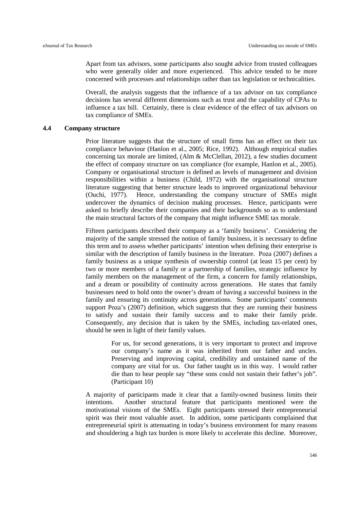Apart from tax advisors, some participants also sought advice from trusted colleagues who were generally older and more experienced. This advice tended to be more concerned with processes and relationships rather than tax legislation or technicalities.

Overall, the analysis suggests that the influence of a tax advisor on tax compliance decisions has several different dimensions such as trust and the capability of CPAs to influence a tax bill. Certainly, there is clear evidence of the effect of tax advisors on tax compliance of SMEs.

#### **4.4 Company structure**

Prior literature suggests that the structure of small firms has an effect on their tax compliance behaviour (Hanlon et al., 2005; Rice, 1992). Although empirical studies concerning tax morale are limited, (Alm & McClellan, 2012), a few studies document the effect of company structure on tax compliance (for example, Hanlon et al., 2005). Company or organisational structure is defined as levels of management and division responsibilities within a business (Child, 1972) with the organisational structure literature suggesting that better structure leads to improved organizational behaviour (Ouchi, 1977). Hence, understanding the company structure of SMEs might undercover the dynamics of decision making processes. Hence, participants were asked to briefly describe their companies and their backgrounds so as to understand the main structural factors of the company that might influence SME tax morale.

Fifteen participants described their company as a 'family business'. Considering the majority of the sample stressed the notion of family business, it is necessary to define this term and to assess whether participants' intention when defining their enterprise is similar with the description of family business in the literature. Poza (2007) defines a family business as a unique synthesis of ownership control (at least 15 per cent) by two or more members of a family or a partnership of families, strategic influence by family members on the management of the firm, a concern for family relationships, and a dream or possibility of continuity across generations. He states that family businesses need to hold onto the owner's dream of having a successful business in the family and ensuring its continuity across generations. Some participants' comments support Poza's (2007) definition, which suggests that they are running their business to satisfy and sustain their family success and to make their family pride. Consequently, any decision that is taken by the SMEs, including tax-related ones, should be seen in light of their family values.

> For us, for second generations, it is very important to protect and improve our company's name as it was inherited from our father and uncles. Preserving and improving capital, credibility and unstained name of the company are vital for us. Our father taught us in this way. I would rather die than to hear people say "these sons could not sustain their father's job". (Participant 10)

A majority of participants made it clear that a family-owned business limits their intentions. Another structural feature that participants mentioned were the motivational visions of the SMEs. Eight participants stressed their entrepreneurial spirit was their most valuable asset. In addition, some participants complained that entrepreneurial spirit is attenuating in today's business environment for many reasons and shouldering a high tax burden is more likely to accelerate this decline. Moreover,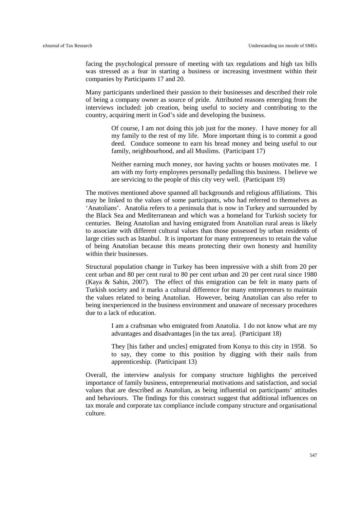facing the psychological pressure of meeting with tax regulations and high tax bills was stressed as a fear in starting a business or increasing investment within their companies by Participants 17 and 20.

Many participants underlined their passion to their businesses and described their role of being a company owner as source of pride. Attributed reasons emerging from the interviews included: job creation, being useful to society and contributing to the country, acquiring merit in God's side and developing the business.

> Of course, I am not doing this job just for the money. I have money for all my family to the rest of my life. More important thing is to commit a good deed. Conduce someone to earn his bread money and being useful to our family, neighbourhood, and all Muslims. (Participant 17)

> Neither earning much money, nor having yachts or houses motivates me. I am with my forty employees personally pedalling this business. I believe we are servicing to the people of this city very well. (Participant 19)

The motives mentioned above spanned all backgrounds and religious affiliations. This may be linked to the values of some participants, who had referred to themselves as 'Anatolians'. Anatolia refers to a peninsula that is now in Turkey and surrounded by the Black Sea and Mediterranean and which was a homeland for Turkish society for centuries. Being Anatolian and having emigrated from Anatolian rural areas is likely to associate with different cultural values than those possessed by urban residents of large cities such as Istanbul. It is important for many entrepreneurs to retain the value of being Anatolian because this means protecting their own honesty and humility within their businesses.

Structural population change in Turkey has been impressive with a shift from 20 per cent urban and 80 per cent rural to 80 per cent urban and 20 per cent rural since 1980 (Kaya & Sahin, 2007). The effect of this emigration can be felt in many parts of Turkish society and it marks a cultural difference for many entrepreneurs to maintain the values related to being Anatolian. However, being Anatolian can also refer to being inexperienced in the business environment and unaware of necessary procedures due to a lack of education.

> I am a craftsman who emigrated from Anatolia. I do not know what are my advantages and disadvantages [in the tax area]. (Participant 18)

> They [his father and uncles] emigrated from Konya to this city in 1958. So to say, they come to this position by digging with their nails from apprenticeship. (Participant 13)

Overall, the interview analysis for company structure highlights the perceived importance of family business, entrepreneurial motivations and satisfaction, and social values that are described as Anatolian, as being influential on participants' attitudes and behaviours. The findings for this construct suggest that additional influences on tax morale and corporate tax compliance include company structure and organisational culture.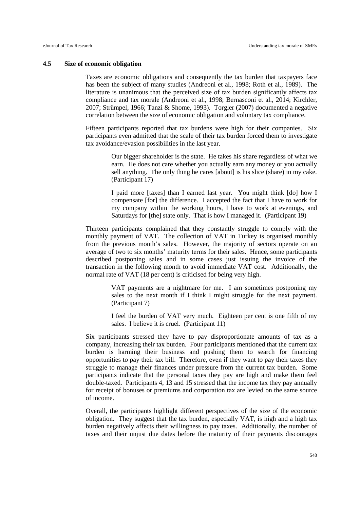#### **4.5 Size of economic obligation**

Taxes are economic obligations and consequently the tax burden that taxpayers face has been the subject of many studies (Andreoni et al., 1998; Roth et al., 1989). The literature is unanimous that the perceived size of tax burden significantly affects tax compliance and tax morale (Andreoni et al., 1998; Bernasconi et al., 2014; Kirchler, 2007; Strümpel, 1966; Tanzi & Shome, 1993). Torgler (2007) documented a negative correlation between the size of economic obligation and voluntary tax compliance.

Fifteen participants reported that tax burdens were high for their companies. Six participants even admitted that the scale of their tax burden forced them to investigate tax avoidance/evasion possibilities in the last year.

> Our bigger shareholder is the state. He takes his share regardless of what we earn. He does not care whether you actually earn any money or you actually sell anything. The only thing he cares [about] is his slice (share) in my cake. (Participant 17)

> I paid more [taxes] than I earned last year. You might think [do] how I compensate [for] the difference. I accepted the fact that I have to work for my company within the working hours, I have to work at evenings, and Saturdays for [the] state only. That is how I managed it. (Participant 19)

Thirteen participants complained that they constantly struggle to comply with the monthly payment of VAT. The collection of VAT in Turkey is organised monthly from the previous month's sales. However, the majority of sectors operate on an average of two to six months' maturity terms for their sales. Hence, some participants described postponing sales and in some cases just issuing the invoice of the transaction in the following month to avoid immediate VAT cost. Additionally, the normal rate of VAT (18 per cent) is criticised for being very high.

> VAT payments are a nightmare for me. I am sometimes postponing my sales to the next month if I think I might struggle for the next payment. (Participant 7)

> I feel the burden of VAT very much. Eighteen per cent is one fifth of my sales. I believe it is cruel. (Participant 11)

Six participants stressed they have to pay disproportionate amounts of tax as a company, increasing their tax burden. Four participants mentioned that the current tax burden is harming their business and pushing them to search for financing opportunities to pay their tax bill. Therefore, even if they want to pay their taxes they struggle to manage their finances under pressure from the current tax burden. Some participants indicate that the personal taxes they pay are high and make them feel double-taxed. Participants 4, 13 and 15 stressed that the income tax they pay annually for receipt of bonuses or premiums and corporation tax are levied on the same source of income.

Overall, the participants highlight different perspectives of the size of the economic obligation. They suggest that the tax burden, especially VAT, is high and a high tax burden negatively affects their willingness to pay taxes. Additionally, the number of taxes and their unjust due dates before the maturity of their payments discourages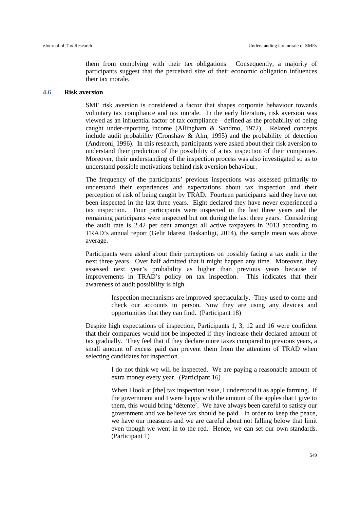them from complying with their tax obligations. Consequently, a majority of participants suggest that the perceived size of their economic obligation influences their tax morale.

#### **4.6 Risk aversion**

SME risk aversion is considered a factor that shapes corporate behaviour towards voluntary tax compliance and tax morale. In the early literature, risk aversion was viewed as an influential factor of tax compliance—defined as the probability of being caught under-reporting income (Allingham & Sandmo, 1972). Related concepts include audit probability (Cronshaw  $\&$  Alm, 1995) and the probability of detection (Andreoni, 1996). In this research, participants were asked about their risk aversion to understand their prediction of the possibility of a tax inspection of their companies. Moreover, their understanding of the inspection process was also investigated so as to understand possible motivations behind risk aversion behaviour.

The frequency of the participants' previous inspections was assessed primarily to understand their experiences and expectations about tax inspection and their perception of risk of being caught by TRAD. Fourteen participants said they have not been inspected in the last three years. Eight declared they have never experienced a tax inspection. Four participants were inspected in the last three years and the remaining participants were inspected but not during the last three years. Considering the audit rate is 2.42 per cent amongst all active taxpayers in 2013 according to TRAD's annual report (Gelir Idaresi Baskanligi, 2014), the sample mean was above average.

Participants were asked about their perceptions on possibly facing a tax audit in the next three years. Over half admitted that it might happen any time. Moreover, they assessed next year's probability as higher than previous years because of improvements in TRAD's policy on tax inspection. This indicates that their awareness of audit possibility is high.

> Inspection mechanisms are improved spectacularly. They used to come and check our accounts in person. Now they are using any devices and opportunities that they can find. (Participant 18)

Despite high expectations of inspection, Participants 1, 3, 12 and 16 were confident that their companies would not be inspected if they increase their declared amount of tax gradually. They feel that if they declare more taxes compared to previous years, a small amount of excess paid can prevent them from the attention of TRAD when selecting candidates for inspection.

> I do not think we will be inspected. We are paying a reasonable amount of extra money every year. (Participant 16)

> When I look at [the] tax inspection issue, I understood it as apple farming. If the government and I were happy with the amount of the apples that I give to them, this would bring 'détente'. We have always been careful to satisfy our government and we believe tax should be paid. In order to keep the peace, we have our measures and we are careful about not falling below that limit even though we went in to the red. Hence, we can set our own standards. (Participant 1)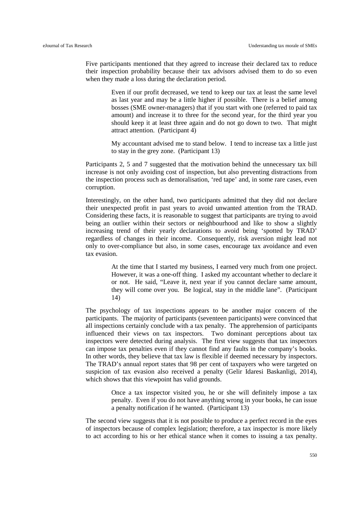Five participants mentioned that they agreed to increase their declared tax to reduce their inspection probability because their tax advisors advised them to do so even when they made a loss during the declaration period.

> Even if our profit decreased, we tend to keep our tax at least the same level as last year and may be a little higher if possible. There is a belief among bosses (SME owner-managers) that if you start with one (referred to paid tax amount) and increase it to three for the second year, for the third year you should keep it at least three again and do not go down to two. That might attract attention. (Participant 4)

> My accountant advised me to stand below. I tend to increase tax a little just to stay in the grey zone. (Participant 13)

Participants 2, 5 and 7 suggested that the motivation behind the unnecessary tax bill increase is not only avoiding cost of inspection, but also preventing distractions from the inspection process such as demoralisation, 'red tape' and, in some rare cases, even corruption.

Interestingly, on the other hand, two participants admitted that they did not declare their unexpected profit in past years to avoid unwanted attention from the TRAD. Considering these facts, it is reasonable to suggest that participants are trying to avoid being an outlier within their sectors or neighbourhood and like to show a slightly increasing trend of their yearly declarations to avoid being 'spotted by TRAD' regardless of changes in their income. Consequently, risk aversion might lead not only to over-compliance but also, in some cases, encourage tax avoidance and even tax evasion.

> At the time that I started my business, I earned very much from one project. However, it was a one-off thing. I asked my accountant whether to declare it or not. He said, "Leave it, next year if you cannot declare same amount, they will come over you. Be logical, stay in the middle lane". (Participant 14)

The psychology of tax inspections appears to be another major concern of the participants. The majority of participants (seventeen participants) were convinced that all inspections certainly conclude with a tax penalty. The apprehension of participants influenced their views on tax inspectors. Two dominant perceptions about tax inspectors were detected during analysis. The first view suggests that tax inspectors can impose tax penalties even if they cannot find any faults in the company's books. In other words, they believe that tax law is flexible if deemed necessary by inspectors. The TRAD's annual report states that 98 per cent of taxpayers who were targeted on suspicion of tax evasion also received a penalty (Gelir Idaresi Baskanligi, 2014), which shows that this viewpoint has valid grounds.

> Once a tax inspector visited you, he or she will definitely impose a tax penalty. Even if you do not have anything wrong in your books, he can issue a penalty notification if he wanted. (Participant 13)

The second view suggests that it is not possible to produce a perfect record in the eyes of inspectors because of complex legislation; therefore, a tax inspector is more likely to act according to his or her ethical stance when it comes to issuing a tax penalty.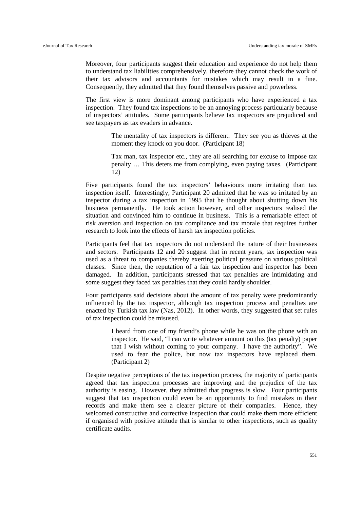Moreover, four participants suggest their education and experience do not help them to understand tax liabilities comprehensively, therefore they cannot check the work of their tax advisors and accountants for mistakes which may result in a fine. Consequently, they admitted that they found themselves passive and powerless.

The first view is more dominant among participants who have experienced a tax inspection. They found tax inspections to be an annoying process particularly because of inspectors' attitudes. Some participants believe tax inspectors are prejudiced and see taxpayers as tax evaders in advance.

> The mentality of tax inspectors is different. They see you as thieves at the moment they knock on you door. (Participant 18)

> Tax man, tax inspector etc., they are all searching for excuse to impose tax penalty … This deters me from complying, even paying taxes. (Participant 12)

Five participants found the tax inspectors' behaviours more irritating than tax inspection itself. Interestingly, Participant 20 admitted that he was so irritated by an inspector during a tax inspection in 1995 that he thought about shutting down his business permanently. He took action however, and other inspectors realised the situation and convinced him to continue in business. This is a remarkable effect of risk aversion and inspection on tax compliance and tax morale that requires further research to look into the effects of harsh tax inspection policies.

Participants feel that tax inspectors do not understand the nature of their businesses and sectors. Participants 12 and 20 suggest that in recent years, tax inspection was used as a threat to companies thereby exerting political pressure on various political classes. Since then, the reputation of a fair tax inspection and inspector has been damaged. In addition, participants stressed that tax penalties are intimidating and some suggest they faced tax penalties that they could hardly shoulder.

Four participants said decisions about the amount of tax penalty were predominantly influenced by the tax inspector, although tax inspection process and penalties are enacted by Turkish tax law (Nas, 2012). In other words, they suggested that set rules of tax inspection could be misused.

> I heard from one of my friend's phone while he was on the phone with an inspector. He said, "I can write whatever amount on this (tax penalty) paper that I wish without coming to your company. I have the authority". We used to fear the police, but now tax inspectors have replaced them. (Participant 2)

Despite negative perceptions of the tax inspection process, the majority of participants agreed that tax inspection processes are improving and the prejudice of the tax authority is easing. However, they admitted that progress is slow. Four participants suggest that tax inspection could even be an opportunity to find mistakes in their records and make them see a clearer picture of their companies. Hence, they welcomed constructive and corrective inspection that could make them more efficient if organised with positive attitude that is similar to other inspections, such as quality certificate audits.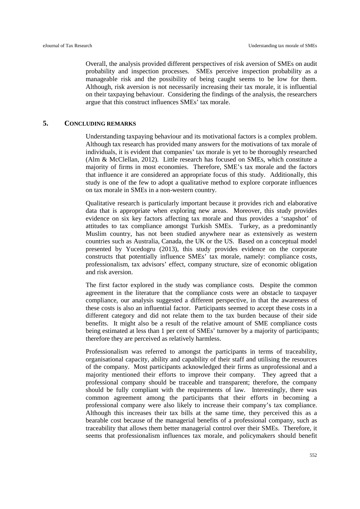Overall, the analysis provided different perspectives of risk aversion of SMEs on audit probability and inspection processes. SMEs perceive inspection probability as a manageable risk and the possibility of being caught seems to be low for them. Although, risk aversion is not necessarily increasing their tax morale, it is influential on their taxpaying behaviour. Considering the findings of the analysis, the researchers argue that this construct influences SMEs' tax morale.

#### **5. CONCLUDING REMARKS**

Understanding taxpaying behaviour and its motivational factors is a complex problem. Although tax research has provided many answers for the motivations of tax morale of individuals, it is evident that companies' tax morale is yet to be thoroughly researched (Alm & McClellan, 2012). Little research has focused on SMEs, which constitute a majority of firms in most economies. Therefore, SME's tax morale and the factors that influence it are considered an appropriate focus of this study. Additionally, this study is one of the few to adopt a qualitative method to explore corporate influences on tax morale in SMEs in a non-western country.

Qualitative research is particularly important because it provides rich and elaborative data that is appropriate when exploring new areas. Moreover, this study provides evidence on six key factors affecting tax morale and thus provides a 'snapshot' of attitudes to tax compliance amongst Turkish SMEs. Turkey, as a predominantly Muslim country, has not been studied anywhere near as extensively as western countries such as Australia, Canada, the UK or the US. Based on a conceptual model presented by Yucedogru (2013), this study provides evidence on the corporate constructs that potentially influence SMEs' tax morale, namely: compliance costs, professionalism, tax advisors' effect, company structure, size of economic obligation and risk aversion.

The first factor explored in the study was compliance costs. Despite the common agreement in the literature that the compliance costs were an obstacle to taxpayer compliance, our analysis suggested a different perspective, in that the awareness of these costs is also an influential factor. Participants seemed to accept these costs in a different category and did not relate them to the tax burden because of their side benefits. It might also be a result of the relative amount of SME compliance costs being estimated at less than 1 per cent of SMEs' turnover by a majority of participants; therefore they are perceived as relatively harmless.

Professionalism was referred to amongst the participants in terms of traceability, organisational capacity, ability and capability of their staff and utilising the resources of the company. Most participants acknowledged their firms as unprofessional and a majority mentioned their efforts to improve their company. They agreed that a professional company should be traceable and transparent; therefore, the company should be fully compliant with the requirements of law. Interestingly, there was common agreement among the participants that their efforts in becoming a professional company were also likely to increase their company's tax compliance. Although this increases their tax bills at the same time, they perceived this as a bearable cost because of the managerial benefits of a professional company, such as traceability that allows them better managerial control over their SMEs. Therefore, it seems that professionalism influences tax morale, and policymakers should benefit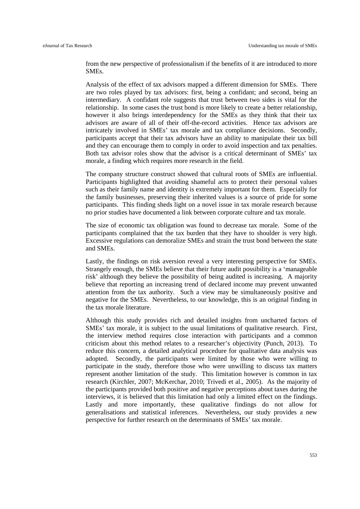from the new perspective of professionalism if the benefits of it are introduced to more SMEs.

Analysis of the effect of tax advisors mapped a different dimension for SMEs. There are two roles played by tax advisors: first, being a confidant; and second, being an intermediary. A confidant role suggests that trust between two sides is vital for the relationship. In some cases the trust bond is more likely to create a better relationship, however it also brings interdependency for the SMEs as they think that their tax advisors are aware of all of their off-the-record activities. Hence tax advisors are intricately involved in SMEs' tax morale and tax compliance decisions. Secondly, participants accept that their tax advisors have an ability to manipulate their tax bill and they can encourage them to comply in order to avoid inspection and tax penalties. Both tax advisor roles show that the advisor is a critical determinant of SMEs' tax morale, a finding which requires more research in the field.

The company structure construct showed that cultural roots of SMEs are influential. Participants highlighted that avoiding shameful acts to protect their personal values such as their family name and identity is extremely important for them. Especially for the family businesses, preserving their inherited values is a source of pride for some participants. This finding sheds light on a novel issue in tax morale research because no prior studies have documented a link between corporate culture and tax morale.

The size of economic tax obligation was found to decrease tax morale. Some of the participants complained that the tax burden that they have to shoulder is very high. Excessive regulations can demoralize SMEs and strain the trust bond between the state and SMEs.

Lastly, the findings on risk aversion reveal a very interesting perspective for SMEs. Strangely enough, the SMEs believe that their future audit possibility is a 'manageable risk' although they believe the possibility of being audited is increasing. A majority believe that reporting an increasing trend of declared income may prevent unwanted attention from the tax authority. Such a view may be simultaneously positive and negative for the SMEs. Nevertheless, to our knowledge, this is an original finding in the tax morale literature.

Although this study provides rich and detailed insights from uncharted factors of SMEs' tax morale, it is subject to the usual limitations of qualitative research. First, the interview method requires close interaction with participants and a common criticism about this method relates to a researcher's objectivity (Punch, 2013). To reduce this concern, a detailed analytical procedure for qualitative data analysis was adopted. Secondly, the participants were limited by those who were willing to participate in the study, therefore those who were unwilling to discuss tax matters represent another limitation of the study. This limitation however is common in tax research (Kirchler, 2007; McKerchar, 2010; Trivedi et al., 2005). As the majority of the participants provided both positive and negative perceptions about taxes during the interviews, it is believed that this limitation had only a limited effect on the findings. Lastly and more importantly, these qualitative findings do not allow for generalisations and statistical inferences. Nevertheless, our study provides a new perspective for further research on the determinants of SMEs' tax morale.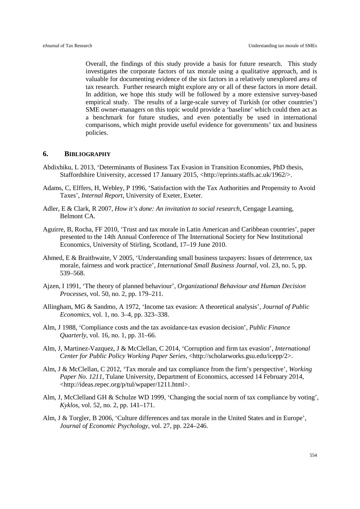Overall, the findings of this study provide a basis for future research. This study investigates the corporate factors of tax morale using a qualitative approach, and is valuable for documenting evidence of the six factors in a relatively unexplored area of tax research. Further research might explore any or all of these factors in more detail. In addition, we hope this study will be followed by a more extensive survey-based empirical study. The results of a large-scale survey of Turkish (or other countries') SME owner-managers on this topic would provide a 'baseline' which could then act as a benchmark for future studies, and even potentially be used in international comparisons, which might provide useful evidence for governments' tax and business policies.

#### **6. BIBLIOGRAPHY**

- Abdixhiku, L 2013, 'Determinants of Business Tax Evasion in Transition Economies, PhD thesis, Staffordshire University, accessed 17 January 2015, <http://eprints.staffs.ac.uk/1962/>.
- Adams, C, Elffers, H, Webley, P 1996, 'Satisfaction with the Tax Authorities and Propensity to Avoid Taxes', *Internal Report*, University of Exeter, Exeter.
- Adler, E & Clark, R 2007, *How it's done: An invitation to social research*, Cengage Learning, Belmont CA.
- Aguirre, B, Rocha, FF 2010, 'Trust and tax morale in Latin American and Caribbean countries', paper presented to the 14th Annual Conference of The International Society for New Institutional Economics, University of Stirling, Scotland, 17–19 June 2010.
- Ahmed, E & Braithwaite, V 2005, 'Understanding small business taxpayers: Issues of deterrence, tax morale, fairness and work practice', *International Small Business Journal*, vol. 23, no. 5, pp. 539–568.
- Ajzen, I 1991, 'The theory of planned behaviour', *Organizational Behaviour and Human Decision Processes*, vol. 50, no. 2, pp. 179–211.
- Allingham, MG & Sandmo, A 1972, 'Income tax evasion: A theoretical analysis', *Journal of Public Economics*, vol. 1, no. 3–4, pp. 323–338.
- Alm, J 1988, 'Compliance costs and the tax avoidance-tax evasion decision', *Public Finance Quarterly*, vol. 16, no. 1, pp. 31–66.
- Alm, J, Martinez-Vazquez, J & McClellan, C 2014, 'Corruption and firm tax evasion', *International Center* for Public Policy Working Paper Series, <http://scholarworks.gsu.edu/icepp/2>.
- Alm, J & McClellan, C 2012, 'Tax morale and tax compliance from the firm's perspective', *Working Paper No. 1211*, Tulane University, Department of Economics, accessed 14 February 2014, <http://ideas.repec.org/p/tul/wpaper/1211.html>.
- Alm, J, McClelland GH & Schulze WD 1999, 'Changing the social norm of tax compliance by voting', *Kyklos*, vol. 52, no. 2, pp. 141–171.
- Alm, J & Torgler, B 2006, 'Culture differences and tax morale in the United States and in Europe', *Journal of Economic Psychology*, vol. 27, pp. 224–246.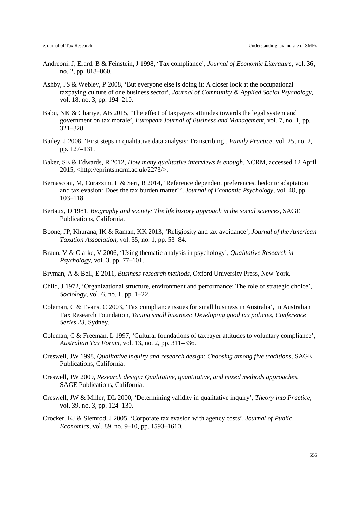- Andreoni, J, Erard, B & Feinstein, J 1998, 'Tax compliance', *Journal of Economic Literature*, vol. 36, no. 2, pp. 818–860.
- Ashby, JS & Webley, P 2008, 'But everyone else is doing it: A closer look at the occupational taxpaying culture of one business sector', *Journal of Community & Applied Social Psychology*, vol. 18, no. 3, pp. 194–210.
- Babu, NK & Chariye, AB 2015, 'The effect of taxpayers attitudes towards the legal system and government on tax morale', *European Journal of Business and Management*, vol. 7, no. 1, pp. 321–328.
- Bailey, J 2008, 'First steps in qualitative data analysis: Transcribing', *Family Practice*, vol. 25, no. 2, pp. 127–131.
- Baker, SE & Edwards, R 2012, *How many qualitative interviews is enough*, NCRM, accessed 12 April 2015, <http://eprints.ncrm.ac.uk/2273/>.
- Bernasconi, M, Corazzini, L & Seri, R 2014, 'Reference dependent preferences, hedonic adaptation and tax evasion: Does the tax burden matter?', *Journal of Economic Psychology*, vol. 40, pp. 103–118.
- Bertaux, D 1981, *Biography and society: The life history approach in the social sciences*, SAGE Publications, California.
- Boone, JP, Khurana, IK & Raman, KK 2013, 'Religiosity and tax avoidance', *Journal of the American Taxation Association*, vol. 35, no. 1, pp. 53–84.
- Braun, V & Clarke, V 2006, 'Using thematic analysis in psychology', *Qualitative Research in Psychology*, vol. 3, pp. 77–101.
- Bryman, A & Bell, E 2011, *Business research methods*, Oxford University Press, New York.
- Child, J 1972, 'Organizational structure, environment and performance: The role of strategic choice', *Sociology*, vol. 6, no. 1, pp. 1–22.
- Coleman, C & Evans, C 2003, 'Tax compliance issues for small business in Australia', in Australian Tax Research Foundation, *Taxing small business: Developing good tax policies*, *Conference Series 23*, Sydney.
- Coleman, C & Freeman, L 1997, 'Cultural foundations of taxpayer attitudes to voluntary compliance', *Australian Tax Forum*, vol. 13, no. 2, pp. 311–336.
- Creswell, JW 1998, *Qualitative inquiry and research design: Choosing among five traditions*, SAGE Publications, California.
- Creswell, JW 2009, *Research design: Qualitative, quantitative, and mixed methods approaches*, SAGE Publications, California.
- Creswell, JW & Miller, DL 2000, 'Determining validity in qualitative inquiry', *Theory into Practice*, vol. 39, no. 3, pp. 124–130.
- Crocker, KJ & Slemrod, J 2005, 'Corporate tax evasion with agency costs', *Journal of Public Economics*, vol. 89, no. 9–10, pp. 1593–1610.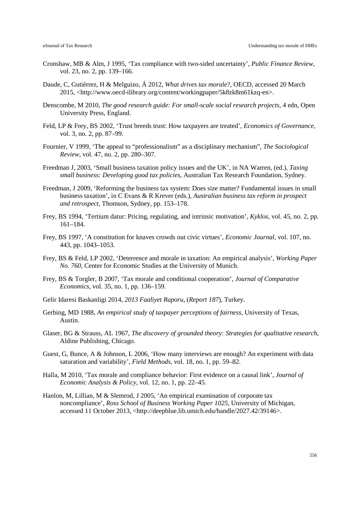- Cronshaw, MB & Alm, J 1995, 'Tax compliance with two-sided uncertainty', *Public Finance Review*, vol. 23, no. 2, pp. 139–166.
- Daude, C, Gutiérrez, H & Melguizo, Á 2012, *What drives tax morale*?, OECD, accessed 20 March 2015, <http://www.oecd-ilibrary.org/content/workingpaper/5k8zk8m61kzq-en>.
- Denscombe, M 2010, *The good research guide: For small-scale social research projects*, 4 edn, Open University Press, England.
- Feld, LP & Frey, BS 2002, 'Trust breeds trust: How taxpayers are treated', *Economics of Governance*, vol. 3, no. 2, pp. 87–99.
- Fournier, V 1999, 'The appeal to "professionalism" as a disciplinary mechanism", *The Sociological Review*, vol. 47, no. 2, pp. 280–307.
- Freedman J, 2003, 'Small business taxation policy issues and the UK', in NA Warren, (ed.), *Taxing small business: Developing good tax policies*, Australian Tax Research Foundation, Sydney.
- Freedman, J 2009, 'Reforming the business tax system: Does size matter? Fundamental issues in small business taxation', in C Evans & R Krever (eds.), *Australian business tax reform in prospect and retrospect*, Thomson, Sydney, pp. 153–178.
- Frey, BS 1994, 'Tertium datur: Pricing, regulating, and intrinsic motivation', *Kyklos*, vol. 45, no. 2, pp. 161–184.
- Frey, BS 1997, 'A constitution for knaves crowds out civic virtues', *Economic Journal*, vol. 107, no. 443, pp. 1043–1053.
- Frey, BS & Feld, LP 2002, 'Deterrence and morale in taxation: An empirical analysis', *Working Paper No. 760*, Center for Economic Studies at the University of Munich.
- Frey, BS & Torgler, B 2007, 'Tax morale and conditional cooperation', *Journal of Comparative Economics*, vol. 35, no. 1, pp. 136–159.
- Gelir Idaresi Baskanligi 2014, *2013 Faaliyet Raporu*, (*Report 187*), Turkey.
- Gerbing, MD 1988, *An empirical study of taxpayer perceptions of fairness*, University of Texas, Austin.
- Glaser, BG & Strauss, AL 1967, *The discovery of grounded theory: Strategies for qualitative research*, Aldine Publishing, Chicago.
- Guest, G, Bunce, A & Johnson, L 2006, 'How many interviews are enough? An experiment with data saturation and variability', *Field Methods*, vol. 18, no. 1, pp. 59–82.
- Halla, M 2010, 'Tax morale and compliance behavior: First evidence on a causal link', *Journal of Economic Analysis & Policy*, vol. 12, no. 1, pp. 22–45.
- Hanlon, M, Lillian, M & Slemrod, J 2005, 'An empirical examination of corporate tax noncompliance', *Ross School of Business Working Paper 1025*, University of Michigan, accessed 11 October 2013, <http://deepblue.lib.umich.edu/handle/2027.42/39146>.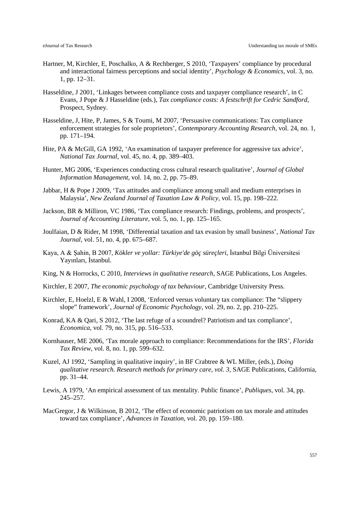- Hartner, M, Kirchler, E, Poschalko, A & Rechberger, S 2010, 'Taxpayers' compliance by procedural and interactional fairness perceptions and social identity', *Psychology & Economics*, vol. 3, no. 1, pp. 12–31.
- Hasseldine, J 2001, 'Linkages between compliance costs and taxpayer compliance research', in C Evans, J Pope & J Hasseldine (eds.), *Tax compliance costs: A festschrift for Cedric Sandford,*  Prospect, Sydney.
- Hasseldine, J, Hite, P, James, S & Toumi, M 2007, 'Persuasive communications: Tax compliance enforcement strategies for sole proprietors', *Contemporary Accounting Research*, vol. 24, no. 1, pp. 171–194.
- Hite, PA & McGill, GA 1992, 'An examination of taxpayer preference for aggressive tax advice', *National Tax Journal*, vol. 45, no. 4, pp. 389–403.
- Hunter, MG 2006, 'Experiences conducting cross cultural research qualitative', *Journal of Global Information Management*, vol. 14, no. 2, pp. 75–89.
- Jabbar, H & Pope J 2009, 'Tax attitudes and compliance among small and medium enterprises in Malaysia', *New Zealand Journal of Taxation Law & Policy*, vol. 15, pp. 198–222.
- Jackson, BR & Milliron, VC 1986, 'Tax compliance research: Findings, problems, and prospects', *Journal of Accounting Literature*, vol. 5, no. 1, pp. 125–165.
- Joulfaian, D & Rider, M 1998, 'Differential taxation and tax evasion by small business', *National Tax Journal,* vol. 51, no. 4, pp. 675–687.
- Kaya, A & Şahin, B 2007, *Kökler ve yollar: Türkiye'de göç süreçleri*, İstanbul Bilgi Üniversitesi Yayınları, İstanbul.
- King, N & Horrocks, C 2010, *Interviews in qualitative research*, SAGE Publications, Los Angeles.
- Kirchler, E 2007, *The economic psychology of tax behaviour*, Cambridge University Press.
- Kirchler, E, Hoelzl, E & Wahl, I 2008, 'Enforced versus voluntary tax compliance: The "slippery slope" framework', *Journal of Economic Psychology*, vol. 29, no. 2, pp. 210–225.
- Konrad, KA & Qari, S 2012, 'The last refuge of a scoundrel? Patriotism and tax compliance', *Economica*, vol. 79, no. 315, pp. 516–533.
- Kornhauser, ME 2006, 'Tax morale approach to compliance: Recommendations for the IRS', *Florida Tax Review*, vol. 8, no. 1, pp. 599–632.
- Kuzel, AJ 1992, 'Sampling in qualitative inquiry', in BF Crabtree & WL Miller, (eds.), *Doing qualitative research. Research methods for primary care*, *vol. 3*, SAGE Publications, California, pp. 31–44.
- Lewis, A 1979, 'An empirical assessment of tax mentality. Public finance', *Publiques*, vol. 34, pp. 245–257.
- MacGregor, J & Wilkinson, B 2012, 'The effect of economic patriotism on tax morale and attitudes toward tax compliance', *Advances in Taxation*, vol. 20, pp. 159–180.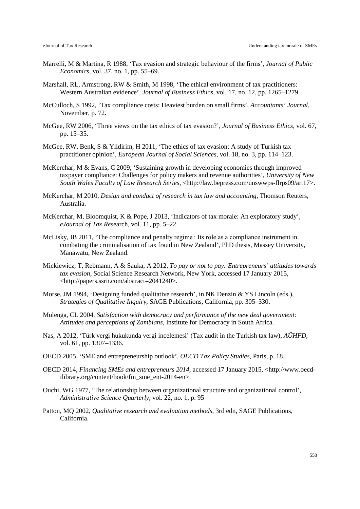- Marrelli, M & Martina, R 1988, 'Tax evasion and strategic behaviour of the firms', *Journal of Public Economics*, vol. 37, no. 1, pp. 55–69.
- Marshall, RL, Armstrong, RW & Smith, M 1998, 'The ethical environment of tax practitioners: Western Australian evidence', *Journal of Business Ethics*, vol. 17, no. 12, pp. 1265–1279.
- McCulloch, S 1992, 'Tax compliance costs: Heaviest burden on small firms', *Accountants' Journal*, November, p. 72.
- McGee, RW 2006, 'Three views on the tax ethics of tax evasion?', *Journal of Business Ethics*, vol. 67, pp. 15–35.
- McGee, RW, Benk, S & Yildirim, H 2011, 'The ethics of tax evasion: A study of Turkish tax practitioner opinion', *European Journal of Social Sciences*, vol. 18, no. 3, pp. 114–123.
- McKerchar, M & Evans, C 2009, 'Sustaining growth in developing economies through improved taxpayer compliance: Challenges for policy makers and revenue authorities', *University of New South Wales Faculty of Law Research Series*, <http://law.bepress.com/unswwps-flrps09/art17>.
- McKerchar, M 2010, *Design and conduct of research in tax law and accounting*, Thomson Reuters, Australia.
- McKerchar, M, Bloomquist, K & Pope, J 2013, 'Indicators of tax morale: An exploratory study', *eJournal of Tax Res*earch, vol. 11, pp. 5–22.
- McLisky, IB 2011, 'The compliance and penalty regime : Its role as a compliance instrument in combating the criminalisation of tax fraud in New Zealand', PhD thesis, Massey University, Manawatu, New Zealand.
- Mickiewicz, T, Rebmann, A & Sauka, A 2012, *To pay or not to pay: Entrepreneurs' attitudes towards tax evasion*, Social Science Research Network, New York, accessed 17 January 2015, <http://papers.ssrn.com/abstract=2041240>.
- Morse, JM 1994, 'Designing funded qualitative research', in NK Denzin & YS Lincoln (eds.), *Strategies of Qualitative Inquiry*, SAGE Publications, California, pp. 305–330.
- Mulenga, CL 2004, *Satisfaction with democracy and performance of the new deal government: Attitudes and perceptions of Zambians*, Institute for Democracy in South Africa.
- Nas, A 2012, 'Türk vergi hukukunda vergi incelemesi' (Tax audit in the Turkish tax law), *AÜHFD*, vol. 61, pp. 1307–1336.
- OECD 2005, 'SME and entrepreneurship outlook', *OECD Tax Policy Studies*, Paris, p. 18.
- OECD 2014, *Financing SMEs and entrepreneurs 2014*, accessed 17 January 2015, <http://www.oecdilibrary.org/content/book/fin\_sme\_ent-2014-en>.
- Ouchi, WG 1977, 'The relationship between organizational structure and organizational control', *Administrative Science Quarterly*, vol. 22, no. 1, p. 95
- Patton, MQ 2002, *Qualitative research and evaluation methods*, 3rd edn, SAGE Publications, California.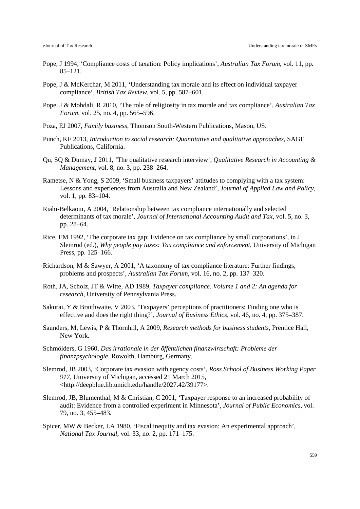- Pope, J 1994, 'Compliance costs of taxation: Policy implications', *Australian Tax Forum*, vol. 11, pp. 85–121.
- Pope, J & McKerchar, M 2011, 'Understanding tax morale and its effect on individual taxpayer compliance', *British Tax Review*, vol. 5, pp. 587–601.
- Pope, J & Mohdali, R 2010, 'The role of religiosity in tax morale and tax compliance', *Australian Tax Forum*, vol. 25, no. 4, pp. 565–596.
- Poza, EJ 2007, *Family business*, Thomson South-Western Publications, Mason, US.
- Punch, KF 2013, *Introduction to social research: Quantitative and qualitative approaches*, SAGE Publications, California.
- Qu, SQ & Dumay, J 2011, 'The qualitative research interview', *Qualitative Research in Accounting & Management*, vol. 8, no. 3, pp. 238–264.
- Rametse, N & Yong, S 2009, 'Small business taxpayers' attitudes to complying with a tax system: Lessons and experiences from Australia and New Zealand', *Journal of Applied Law and Policy*, vol. 1, pp. 83–104.
- Riahi-Belkaoui, A 2004, 'Relationship between tax compliance internationally and selected determinants of tax morale', *Journal of International Accounting Audit and Tax*, vol. 5, no. 3, pp. 28–64.
- Rice, EM 1992, 'The corporate tax gap: Evidence on tax compliance by small corporations', in J Slemrod (ed.), *Why people pay taxes: Tax compliance and enforcement*, University of Michigan Press, pp. 125–166.
- Richardson, M & Sawyer, A 2001, 'A taxonomy of tax compliance literature: Further findings, problems and prospects', *Australian Tax Forum*, vol. 16, no. 2, pp. 137–320.
- Roth, JA, Scholz, JT & Witte, AD 1989, *Taxpayer compliance. Volume 1 and 2: An agenda for research*, University of Pennsylvania Press.
- Sakurai, Y & Braithwaite, V 2003, 'Taxpayers' perceptions of practitioners: Finding one who is effective and does the right thing?', *Journal of Business Ethics*, vol. 46, no. 4, pp. 375–387.
- Saunders, M, Lewis, P & Thornhill, A 2009, *Research methods for business students*, Prentice Hall, New York.
- Schmölders, G 1960, *Das irrationale in der öffentlichen finanzwirtschaft: Probleme der finanzpsychologie*, Rowolth, Hamburg, Germany.
- Slemrod, JB 2003, 'Corporate tax evasion with agency costs', *Ross School of Business Working Paper 917*, University of Michigan, accessed 21 March 2015, <http://deepblue.lib.umich.edu/handle/2027.42/39177>.
- Slemrod, JB, Blumenthal, M & Christian, C 2001, 'Taxpayer response to an increased probability of audit: Evidence from a controlled experiment in Minnesota', *Journal of Public Economics*, vol. 79, no. 3, 455–483.
- Spicer, MW & Becker, LA 1980, 'Fiscal inequity and tax evasion: An experimental approach', *National Tax Journal*, vol. 33, no. 2, pp. 171–175.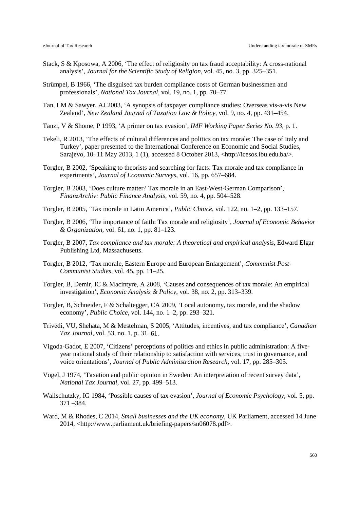- Stack, S & Kposowa, A 2006, 'The effect of religiosity on tax fraud acceptability: A cross-national analysis', *Journal for the Scientific Study of Religion*, vol. 45, no. 3, pp. 325–351.
- Strümpel, B 1966, 'The disguised tax burden compliance costs of German businessmen and professionals', *National Tax Journal*, vol. 19, no. 1, pp. 70–77.
- Tan, LM & Sawyer, AJ 2003, 'A synopsis of taxpayer compliance studies: Overseas vis-a-vis New Zealand', *New Zealand Journal of Taxation Law & Policy*, vol. 9, no. 4, pp. 431–454.
- Tanzi, V & Shome, P 1993, 'A primer on tax evasion', *IMF Working Paper Series No. 93,* p. 1.
- Tekeli, R 2013, 'The effects of cultural differences and politics on tax morale: The case of Italy and Turkey', paper presented to the International Conference on Economic and Social Studies, Sarajevo, 10–11 May 2013, 1 (1), accessed 8 October 2013, <http://icesos.ibu.edu.ba/>.
- Torgler, B 2002, 'Speaking to theorists and searching for facts: Tax morale and tax compliance in experiments', *Journal of Economic Surveys*, vol. 16, pp. 657–684.
- Torgler, B 2003, 'Does culture matter? Tax morale in an East-West-German Comparison', *FinanzArchiv: Public Finance Analysis*, vol. 59, no. 4, pp. 504–528.
- Torgler, B 2005, 'Tax morale in Latin America', *Public Choice*, vol. 122, no. 1–2, pp. 133–157.
- Torgler, B 2006, 'The importance of faith: Tax morale and religiosity', *Journal of Economic Behavior & Organization,* vol. 61, no. 1, pp. 81–123.
- Torgler, B 2007, *Tax compliance and tax morale: A theoretical and empirical analysis*, Edward Elgar Publishing Ltd, Massachusetts.
- Torgler, B 2012, 'Tax morale, Eastern Europe and European Enlargement', *Communist Post-Communist Studies*, vol. 45, pp. 11–25.
- Torgler, B, Demir, IC & Macintyre, A 2008, 'Causes and consequences of tax morale: An empirical investigation', *Economic Analysis & Policy*, vol. 38, no. 2, pp. 313–339.
- Torgler, B, Schneider, F & Schaltegger, CA 2009, 'Local autonomy, tax morale, and the shadow economy', *Public Choice*, vol. 144, no. 1–2, pp. 293–321.
- Trivedi, VU, Shehata, M & Mestelman, S 2005, 'Attitudes, incentives, and tax compliance', *Canadian Tax Journal*, vol. 53, no. 1, p. 31–61.
- Vigoda-Gadot, E 2007, 'Citizens' perceptions of politics and ethics in public administration: A fiveyear national study of their relationship to satisfaction with services, trust in governance, and voice orientations', *Journal of Public Administration Research*, vol. 17, pp. 285–305.
- Vogel, J 1974, 'Taxation and public opinion in Sweden: An interpretation of recent survey data', *National Tax Journal*, vol. 27, pp. 499–513.
- Wallschutzky, IG 1984, 'Possible causes of tax evasion', *Journal of Economic Psychology*, vol. 5, pp. 371 –384.
- Ward, M & Rhodes, C 2014, *Small businesses and the UK economy*, UK Parliament, accessed 14 June 2014, <http://www.parliament.uk/briefing-papers/sn06078.pdf>.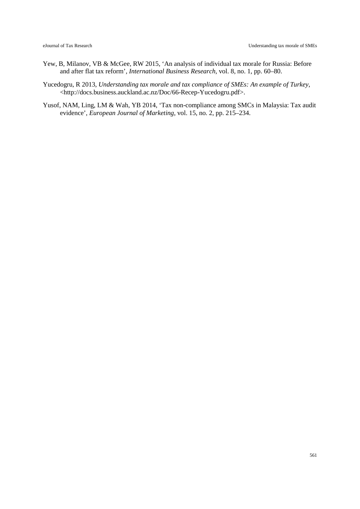- Yew, B, Milanov, VB & McGee, RW 2015, 'An analysis of individual tax morale for Russia: Before and after flat tax reform', *International Business Research*, vol. 8, no. 1, pp. 60–80.
- Yucedogru, R 2013, *Understanding tax morale and tax compliance of SMEs: An example of Turkey*, <http://docs.business.auckland.ac.nz/Doc/66-Recep-Yucedogru.pdf>.
- Yusof, NAM, Ling, LM & Wah, YB 2014, 'Tax non-compliance among SMCs in Malaysia: Tax audit evidence', *European Journal of Marketing*, vol. 15, no. 2, pp. 215–234.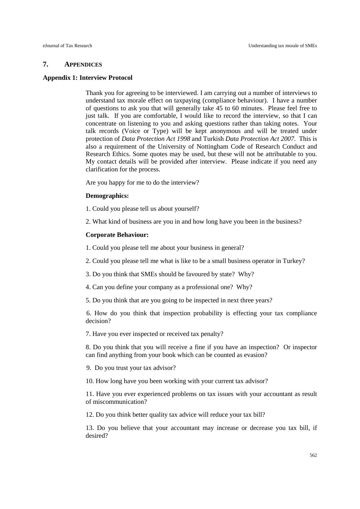#### **7. APPENDICES**

#### **Appendix 1: Interview Protocol**

Thank you for agreeing to be interviewed. I am carrying out a number of interviews to understand tax morale effect on taxpaying (compliance behaviour). I have a number of questions to ask you that will generally take 45 to 60 minutes. Please feel free to just talk. If you are comfortable, I would like to record the interview, so that I can concentrate on listening to you and asking questions rather than taking notes. Your talk records (Voice or Type) will be kept anonymous and will be treated under protection of *Data Protection Act 1998* and Turkish *Data Protection Act 2007*. This is also a requirement of the [University of Nottingham Code of Research Conduct and](http://www.nottingham.ac.uk/ris/local/research-strategy-and-policy/Code_of_Conduct(Version_3_January_2010).pdf)  [Research Ethics.](http://www.nottingham.ac.uk/ris/local/research-strategy-and-policy/Code_of_Conduct(Version_3_January_2010).pdf) Some quotes may be used, but these will not be attributable to you. My contact details will be provided after interview. Please indicate if you need any clarification for the process.

Are you happy for me to do the interview?

#### **Demographics:**

1. Could you please tell us about yourself?

2. What kind of business are you in and how long have you been in the business?

#### **Corporate Behaviour:**

1. Could you please tell me about your business in general?

2. Could you please tell me what is like to be a small business operator in Turkey?

3. Do you think that SMEs should be favoured by state? Why?

4. Can you define your company as a professional one? Why?

5. Do you think that are you going to be inspected in next three years?

6. How do you think that inspection probability is effecting your tax compliance decision?

7. Have you ever inspected or received tax penalty?

8. Do you think that you will receive a fine if you have an inspection? Or inspector can find anything from your book which can be counted as evasion?

9. Do you trust your tax advisor?

10. How long have you been working with your current tax advisor?

11. Have you ever experienced problems on tax issues with your accountant as result of miscommunication?

12. Do you think better quality tax advice will reduce your tax bill?

13. Do you believe that your accountant may increase or decrease you tax bill, if desired?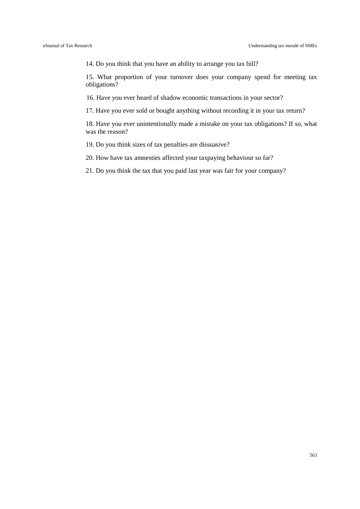14. Do you think that you have an ability to arrange you tax bill?

15. What proportion of your turnover does your company spend for meeting tax obligations?

16. Have you ever heard of shadow economic transactions in your sector?

17. Have you ever sold or bought anything without recording it in your tax return?

18. Have you ever unintentionally made a mistake on your tax obligations? If so, what was the reason?

19. Do you think sizes of tax penalties are dissuasive?

20. How have tax amnesties affected your taxpaying behaviour so far?

21. Do you think the tax that you paid last year was fair for your company?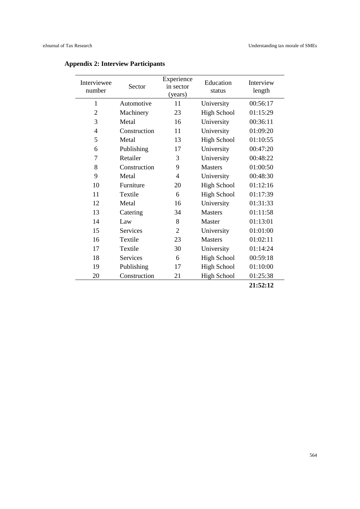| Interviewee<br>number | Sector          | Experience<br>in sector<br>(years) | Education<br>status | Interview<br>length |
|-----------------------|-----------------|------------------------------------|---------------------|---------------------|
| $\mathbf{1}$          | Automotive      | 11                                 | University          | 00:56:17            |
| $\overline{2}$        | Machinery       | 23                                 | <b>High School</b>  | 01:15:29            |
| 3                     | Metal           | 16                                 | University          | 00:36:11            |
| $\overline{4}$        | Construction    | 11                                 | University          | 01:09:20            |
| 5                     | Metal           | 13                                 | <b>High School</b>  | 01:10:55            |
| 6                     | Publishing      | 17                                 | University          | 00:47:20            |
| 7                     | Retailer        | 3                                  | University          | 00:48:22            |
| 8                     | Construction    | 9                                  | <b>Masters</b>      | 01:00:50            |
| 9                     | Metal           | 4                                  | University          | 00:48:30            |
| 10                    | Furniture       | 20                                 | <b>High School</b>  | 01:12:16            |
| 11                    | Textile         | 6                                  | <b>High School</b>  | 01:17:39            |
| 12                    | Metal           | 16                                 | University          | 01:31:33            |
| 13                    | Catering        | 34                                 | <b>Masters</b>      | 01:11:58            |
| 14                    | Law             | 8                                  | Master              | 01:13:01            |
| 15                    | <b>Services</b> | $\overline{2}$                     | University          | 01:01:00            |
| 16                    | Textile         | 23                                 | <b>Masters</b>      | 01:02:11            |
| 17                    | Textile         | 30                                 | University          | 01:14:24            |
| 18                    | Services        | 6                                  | <b>High School</b>  | 00:59:18            |
| 19                    | Publishing      | 17                                 | <b>High School</b>  | 01:10:00            |
| 20                    | Construction    | 21                                 | <b>High School</b>  | 01:25:38            |
|                       |                 |                                    |                     | 21:52:12            |

### **Appendix 2: Interview Participants**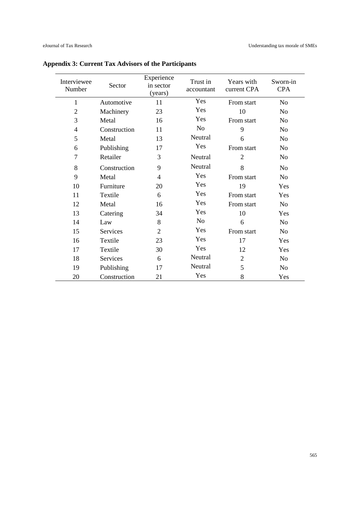| Interviewee<br>Number    | Sector       | Experience<br>in sector<br>(years) | Trust in<br>accountant | Years with<br>current CPA | Sworn-in<br><b>CPA</b> |
|--------------------------|--------------|------------------------------------|------------------------|---------------------------|------------------------|
| $\mathbf{1}$             | Automotive   | 11                                 | Yes                    | From start                | N <sub>o</sub>         |
| $\overline{2}$           | Machinery    | 23                                 | Yes                    | 10                        | N <sub>o</sub>         |
| 3                        | Metal        | 16                                 | Yes                    | From start                | N <sub>o</sub>         |
| $\overline{\mathcal{A}}$ | Construction | 11                                 | N <sub>o</sub>         | 9                         | N <sub>o</sub>         |
| 5                        | Metal        | 13                                 | Neutral                | 6                         | N <sub>o</sub>         |
| 6                        | Publishing   | 17                                 | Yes                    | From start                | N <sub>0</sub>         |
| 7                        | Retailer     | 3                                  | Neutral                | $\overline{2}$            | N <sub>o</sub>         |
| 8                        | Construction | 9                                  | Neutral                | 8                         | N <sub>o</sub>         |
| 9                        | Metal        | 4                                  | Yes                    | From start                | <b>No</b>              |
| 10                       | Furniture    | 20                                 | Yes                    | 19                        | Yes                    |
| 11                       | Textile      | 6                                  | Yes                    | From start                | Yes                    |
| 12                       | Metal        | 16                                 | Yes                    | From start                | N <sub>o</sub>         |
| 13                       | Catering     | 34                                 | Yes                    | 10                        | Yes                    |
| 14                       | Law          | 8                                  | N <sub>0</sub>         | 6                         | N <sub>o</sub>         |
| 15                       | Services     | 2                                  | Yes                    | From start                | N <sub>o</sub>         |
| 16                       | Textile      | 23                                 | Yes                    | 17                        | Yes                    |
| 17                       | Textile      | 30                                 | Yes                    | 12                        | Yes                    |
| 18                       | Services     | 6                                  | Neutral                | $\overline{2}$            | N <sub>o</sub>         |
| 19                       | Publishing   | 17                                 | Neutral                | 5                         | N <sub>o</sub>         |
| 20                       | Construction | 21                                 | Yes                    | 8                         | Yes                    |

**Appendix 3: Current Tax Advisors of the Participants**